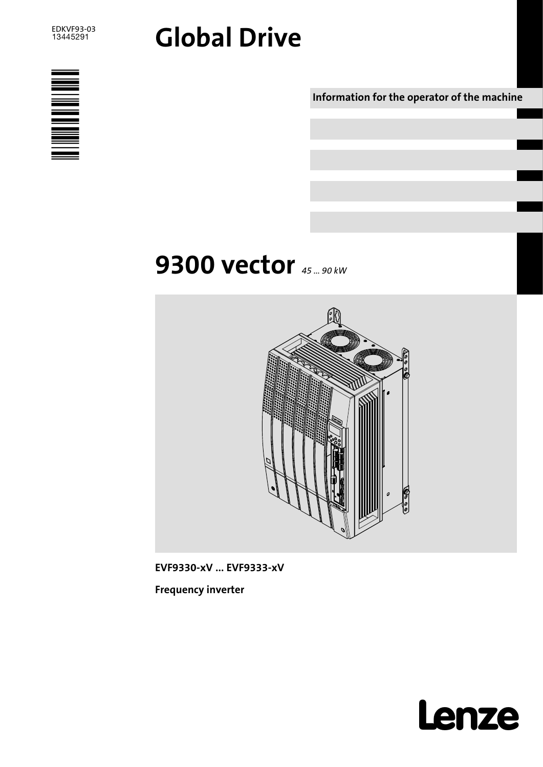

# Global Drive



Information for the operator of the machine

# **9300 vector** 45 ... 90 kW



EVF9330−xV ... EVF9333−xV

Frequency inverter

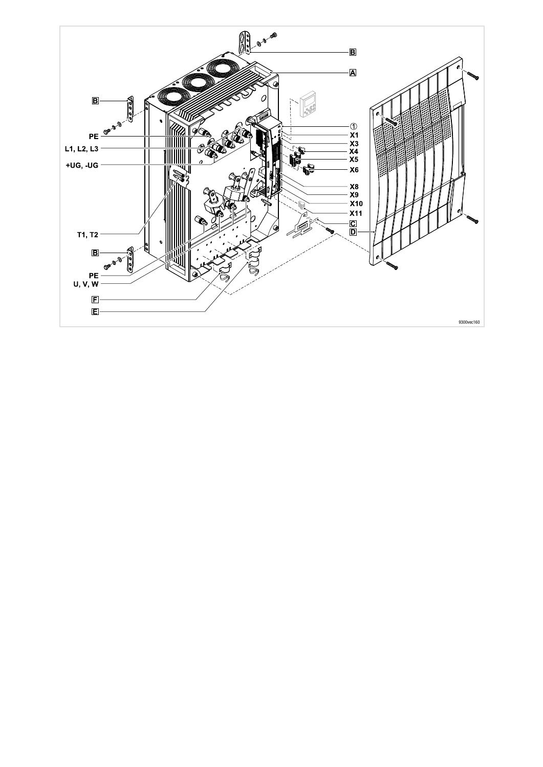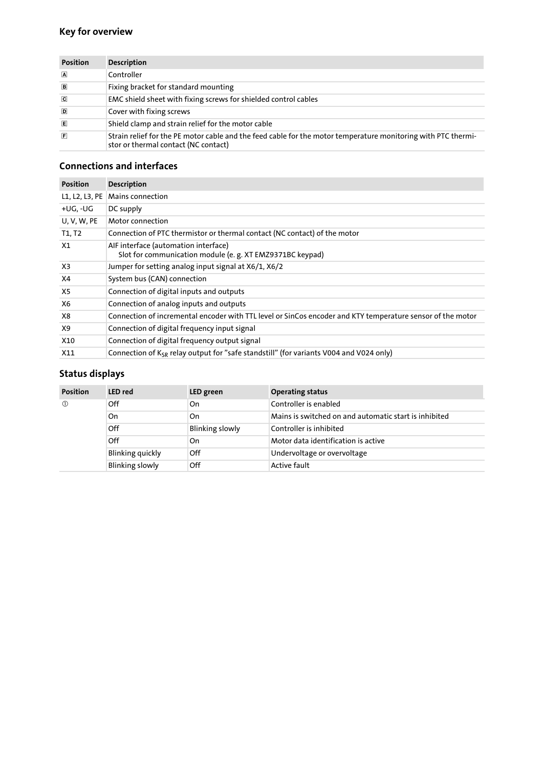## Key for overview

| <b>Position</b> | <b>Description</b>                                                                                                                                    |
|-----------------|-------------------------------------------------------------------------------------------------------------------------------------------------------|
| $\sqrt{A}$      | Controller                                                                                                                                            |
| $\Box$          | Fixing bracket for standard mounting                                                                                                                  |
| $\overline{c}$  | EMC shield sheet with fixing screws for shielded control cables                                                                                       |
| D               | Cover with fixing screws                                                                                                                              |
| 间               | Shield clamp and strain relief for the motor cable                                                                                                    |
| 间               | Strain relief for the PE motor cable and the feed cable for the motor temperature monitoring with PTC thermi-<br>stor or thermal contact (NC contact) |

### Connections and interfaces

| <b>Position</b> | <b>Description</b>                                                                                         |
|-----------------|------------------------------------------------------------------------------------------------------------|
| L1, L2, L3, PE  | Mains connection                                                                                           |
| +UG, -UG        | DC supply                                                                                                  |
| U, V, W, PE     | Motor connection                                                                                           |
| T1, T2          | Connection of PTC thermistor or thermal contact (NC contact) of the motor                                  |
| X1              | AIF interface (automation interface)<br>Slot for communication module (e. g. XT EMZ9371BC keypad)          |
| X <sub>3</sub>  | Jumper for setting analog input signal at X6/1, X6/2                                                       |
| X4              | System bus (CAN) connection                                                                                |
| X5              | Connection of digital inputs and outputs                                                                   |
| X6              | Connection of analog inputs and outputs                                                                    |
| X8              | Connection of incremental encoder with TTL level or SinCos encoder and KTY temperature sensor of the motor |
| X9              | Connection of digital frequency input signal                                                               |
| X10             | Connection of digital frequency output signal                                                              |
| X11             | Connection of $K_{SR}$ relay output for "safe standstill" (for variants V004 and V024 only)                |

## Status displays

| <b>Position</b> | <b>LED</b> red          | LED green              | <b>Operating status</b>                               |
|-----------------|-------------------------|------------------------|-------------------------------------------------------|
| $\circled{0}$   | Off                     | On                     | Controller is enabled                                 |
|                 | On                      | On                     | Mains is switched on and automatic start is inhibited |
|                 | Off                     | <b>Blinking slowly</b> | Controller is inhibited                               |
|                 | Off                     | On                     | Motor data identification is active                   |
|                 | <b>Blinking quickly</b> | Off                    | Undervoltage or overvoltage                           |
|                 | <b>Blinking slowly</b>  | Off                    | <b>Active fault</b>                                   |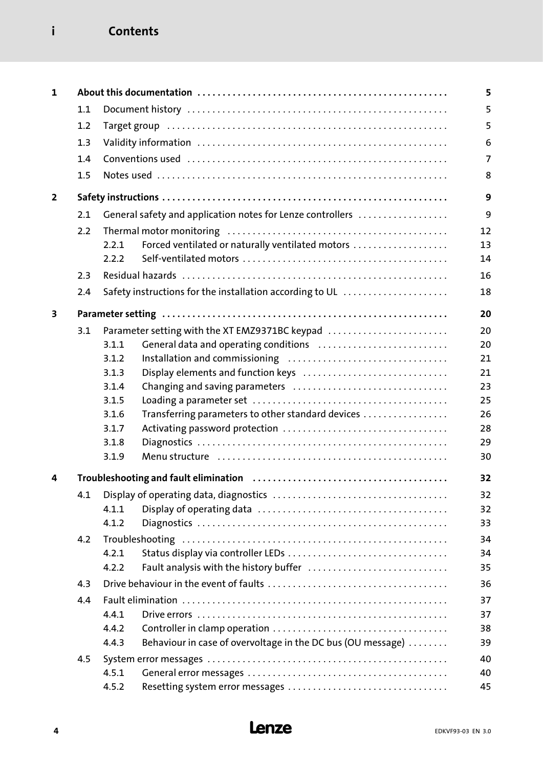## i Contents

| 1              |     |                |                                                                                                                  | 5              |
|----------------|-----|----------------|------------------------------------------------------------------------------------------------------------------|----------------|
|                | 1.1 |                |                                                                                                                  | 5              |
|                | 1.2 |                |                                                                                                                  | 5              |
|                | 1.3 |                |                                                                                                                  | 6              |
|                | 1.4 |                |                                                                                                                  | $\overline{7}$ |
|                | 1.5 |                |                                                                                                                  | 8              |
|                |     |                |                                                                                                                  |                |
| $\overline{2}$ |     |                |                                                                                                                  | 9              |
|                | 2.1 |                | General safety and application notes for Lenze controllers                                                       | 9              |
|                | 2.2 |                |                                                                                                                  | 12             |
|                |     | 2.2.1          | Forced ventilated or naturally ventilated motors                                                                 | 13             |
|                |     | 2.2.2          |                                                                                                                  | 14             |
|                | 2.3 |                |                                                                                                                  | 16             |
|                | 2.4 |                | Safety instructions for the installation according to UL                                                         | 18             |
|                |     |                |                                                                                                                  |                |
| 3              |     |                |                                                                                                                  | 20             |
|                | 3.1 |                | Parameter setting with the XT EMZ9371BC keypad                                                                   | 20             |
|                |     | 3.1.1          | General data and operating conditions                                                                            | 20             |
|                |     | 3.1.2          |                                                                                                                  | 21             |
|                |     | 3.1.3          | Display elements and function keys                                                                               | 21             |
|                |     | 3.1.4          |                                                                                                                  | 23             |
|                |     | 3.1.5          |                                                                                                                  | 25             |
|                |     | 3.1.6          | Transferring parameters to other standard devices                                                                | 26<br>28       |
|                |     | 3.1.7<br>3.1.8 |                                                                                                                  | 29             |
|                |     | 3.1.9          | Menu structure (all contains and contained all contains and menu structure and menu structure and menu structure | 30             |
|                |     |                |                                                                                                                  |                |
| 4              |     |                |                                                                                                                  | 32             |
|                | 4.1 |                |                                                                                                                  | 32             |
|                |     | 4.1.1          |                                                                                                                  | 32             |
|                |     | 4.1.2          |                                                                                                                  | 33             |
|                | 4.2 |                |                                                                                                                  | 34             |
|                |     | 4.2.1          |                                                                                                                  | 34             |
|                |     | 4.2.2          | Fault analysis with the history buffer                                                                           | 35             |
|                | 4.3 |                |                                                                                                                  | 36             |
|                | 4.4 |                |                                                                                                                  | 37             |
|                |     | 4.4.1          |                                                                                                                  | 37             |
|                |     | 4.4.2          |                                                                                                                  | 38             |
|                |     | 4.4.3          | Behaviour in case of overvoltage in the DC bus (OU message)                                                      | 39             |
|                | 4.5 |                |                                                                                                                  | 40             |
|                |     | 4.5.1          |                                                                                                                  | 40             |
|                |     | 4.5.2          |                                                                                                                  | 45             |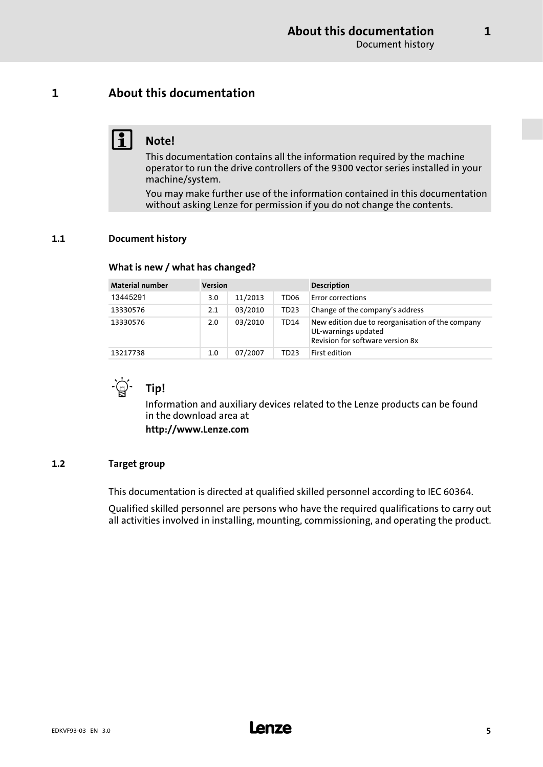### <span id="page-4-0"></span>1 About this documentation

## $\vert \cdot \vert$  Note!

This documentation contains all the information required by the machine operator to run the drive controllers of the 9300 vector series installed in your machine/system.

You may make further use of the information contained in this documentation without asking Lenze for permission if you do not change the contents.

### 1.1 Document history

### What is new / what has changed?

| <b>Material number</b> | <b>Version</b> |         |                  | <b>Description</b>                                                                                          |
|------------------------|----------------|---------|------------------|-------------------------------------------------------------------------------------------------------------|
| 13445291               | 3.0            | 11/2013 | TD <sub>06</sub> | <b>Error corrections</b>                                                                                    |
| 13330576               | 2.1            | 03/2010 | TD <sub>23</sub> | Change of the company's address                                                                             |
| 13330576               | 2.0            | 03/2010 | TD14             | New edition due to reorganisation of the company<br>UL-warnings updated<br>Revision for software version 8x |
| 13217738               | 1.0            | 07/2007 | TD23             | First edition                                                                                               |



Information and auxiliary devices related to the Lenze products can be found in the download area at

http://www.Lenze.com

### 1.2 Target group

This documentation is directed at qualified skilled personnel according to IEC 60364.

Qualified skilled personnel are persons who have the required qualifications to carry out all activities involved in installing, mounting, commissioning, and operating the product.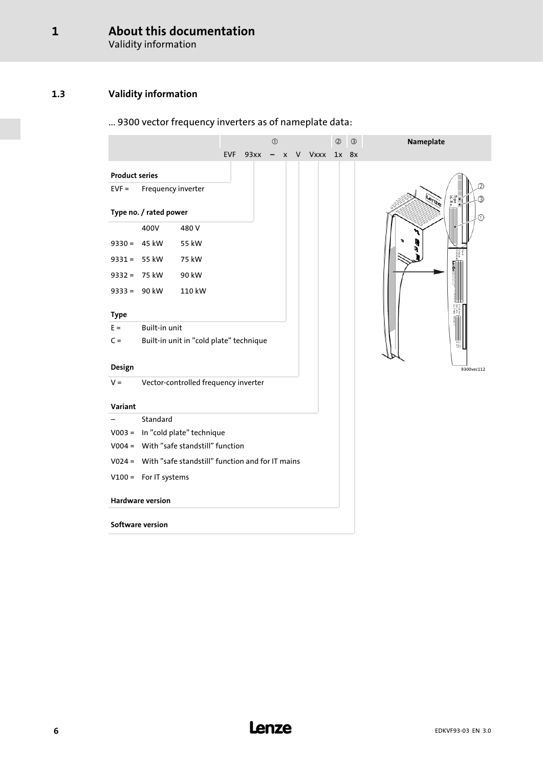Validity information

### <span id="page-5-0"></span>1.3 Validity information

## ... 9300 vector frequency inverters as of nameplate data:

|                       |                         |                                                         |            |      | $\odot$ |                    | $\circledcirc$ | $\circledS$ | Nameplate     |
|-----------------------|-------------------------|---------------------------------------------------------|------------|------|---------|--------------------|----------------|-------------|---------------|
|                       |                         |                                                         | <b>EVF</b> | 93xx |         | $- x V Vxxx 1x 8x$ |                |             |               |
| <b>Product series</b> |                         |                                                         |            |      |         |                    |                |             |               |
| $EVF =$               | Frequency inverter      |                                                         |            |      |         |                    |                |             |               |
|                       | Type no. / rated power  |                                                         |            |      |         |                    |                |             | lype<br>d-No. |
|                       | 400V                    | 480 V                                                   |            |      |         |                    |                |             |               |
|                       | $9330 = 45$ kW          | 55 kW                                                   |            |      |         |                    |                |             |               |
|                       | $9331 = 55$ kW          | 75 kW                                                   |            |      |         |                    |                |             |               |
| $9332 =$              | 75 kW                   | 90 kW                                                   |            |      |         |                    |                |             |               |
|                       | $9333 = 90$ kW          | 110 kW                                                  |            |      |         |                    |                |             |               |
|                       |                         |                                                         |            |      |         |                    |                |             |               |
| <b>Type</b><br>$E =$  | Built-in unit           |                                                         |            |      |         |                    |                |             |               |
| $C =$                 |                         | Built-in unit in "cold plate" technique                 |            |      |         |                    |                |             |               |
|                       |                         |                                                         |            |      |         |                    |                |             |               |
| Design                |                         |                                                         |            |      |         |                    |                |             | 9300vec112    |
| $V =$                 |                         | Vector-controlled frequency inverter                    |            |      |         |                    |                |             |               |
| Variant               |                         |                                                         |            |      |         |                    |                |             |               |
|                       | Standard                |                                                         |            |      |         |                    |                |             |               |
|                       |                         | V003 = In "cold plate" technique                        |            |      |         |                    |                |             |               |
|                       |                         | V004 = With "safe standstill" function                  |            |      |         |                    |                |             |               |
|                       |                         | V024 = With "safe standstill" function and for IT mains |            |      |         |                    |                |             |               |
|                       | $V100 =$ For IT systems |                                                         |            |      |         |                    |                |             |               |
|                       |                         |                                                         |            |      |         |                    |                |             |               |
|                       | <b>Hardware version</b> |                                                         |            |      |         |                    |                |             |               |
|                       | Software version        |                                                         |            |      |         |                    |                |             |               |
|                       |                         |                                                         |            |      |         |                    |                |             |               |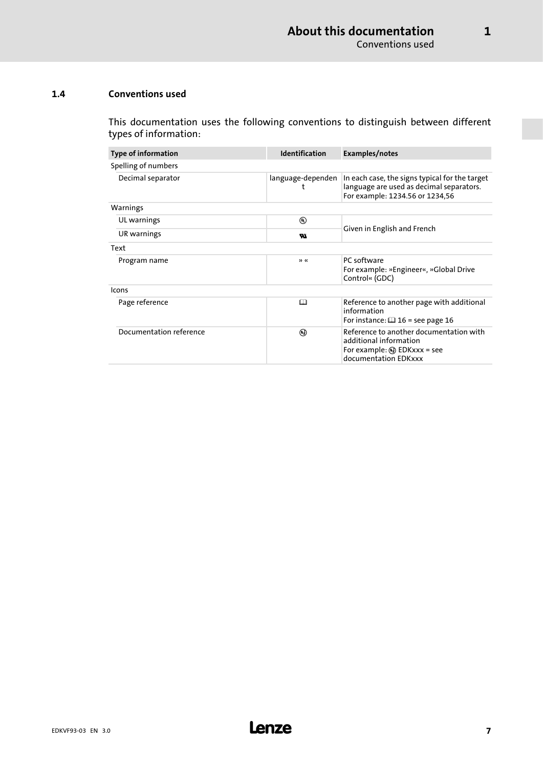[1](#page-4-0)

### <span id="page-6-0"></span>1.4 Conventions used

This documentation uses the following conventions to distinguish between different types of information:

| <b>Type of information</b> | <b>Identification</b> | Examples/notes                                                                                                                     |  |
|----------------------------|-----------------------|------------------------------------------------------------------------------------------------------------------------------------|--|
| Spelling of numbers        |                       |                                                                                                                                    |  |
| Decimal separator          | language-dependen     | In each case, the signs typical for the target<br>language are used as decimal separators.<br>For example: 1234.56 or 1234,56      |  |
| Warnings                   |                       |                                                                                                                                    |  |
| UL warnings                | $^{\circledR}$        |                                                                                                                                    |  |
| UR warnings                | w                     | Given in English and French                                                                                                        |  |
| Text                       |                       |                                                                                                                                    |  |
| Program name               | >                     | PC software<br>For example: »Engineer«, »Global Drive<br>Control« (GDC)                                                            |  |
| Icons                      |                       |                                                                                                                                    |  |
| Page reference             | ◫                     | Reference to another page with additional<br>information<br>For instance: $\Box$ 16 = see page 16                                  |  |
| Documentation reference    | ⊛                     | Reference to another documentation with<br>additional information<br>For example: $\mathbb Q$ EDKxxx = see<br>documentation EDKxxx |  |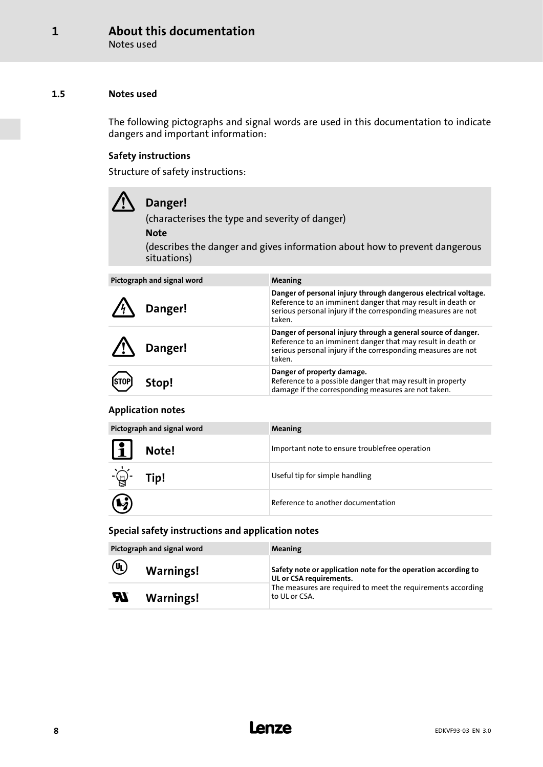Notes used

### <span id="page-7-0"></span>1.5 Notes used

The following pictographs and signal words are used in this documentation to indicate dangers and important information:

### Safety instructions

Structure of safety instructions:

| Danger!<br>(characterises the type and severity of danger)<br><b>Note</b><br>(describes the danger and gives information about how to prevent dangerous<br>situations) |                                                                                                                                                                                                           |  |  |  |  |
|------------------------------------------------------------------------------------------------------------------------------------------------------------------------|-----------------------------------------------------------------------------------------------------------------------------------------------------------------------------------------------------------|--|--|--|--|
| Pictograph and signal word                                                                                                                                             | <b>Meaning</b>                                                                                                                                                                                            |  |  |  |  |
| Danger!                                                                                                                                                                | Danger of personal injury through dangerous electrical voltage.<br>Reference to an imminent danger that may result in death or<br>serious personal injury if the corresponding measures are not<br>taken. |  |  |  |  |
| Danger!                                                                                                                                                                | Danger of personal injury through a general source of danger.<br>Reference to an imminent danger that may result in death or<br>serious personal injury if the corresponding measures are not<br>taken.   |  |  |  |  |
|                                                                                                                                                                        | Danger of property damage.                                                                                                                                                                                |  |  |  |  |

### Application notes

(STOP) Stop!

|                       | Pictograph and signal word | <b>Meaning</b>                                 |
|-----------------------|----------------------------|------------------------------------------------|
| $\mathbf{1}$          | Note!                      | Important note to ensure troublefree operation |
| $-\underline{\omega}$ | Tip!                       | Useful tip for simple handling                 |
| $\mathbf{Q}$          |                            | Reference to another documentation             |

Reference to a possible danger that may result in property damage if the corresponding measures are not taken.

### Special safety instructions and application notes

|                            | Pictograph and signal word | <b>Meaning</b>                                                                            |
|----------------------------|----------------------------|-------------------------------------------------------------------------------------------|
| $\circledR$                | <b>Warnings!</b>           | Safety note or application note for the operation according to<br>UL or CSA requirements. |
| $\boldsymbol{\mathcal{H}}$ | <b>Warnings!</b>           | The measures are required to meet the requirements according<br>to UL or CSA.             |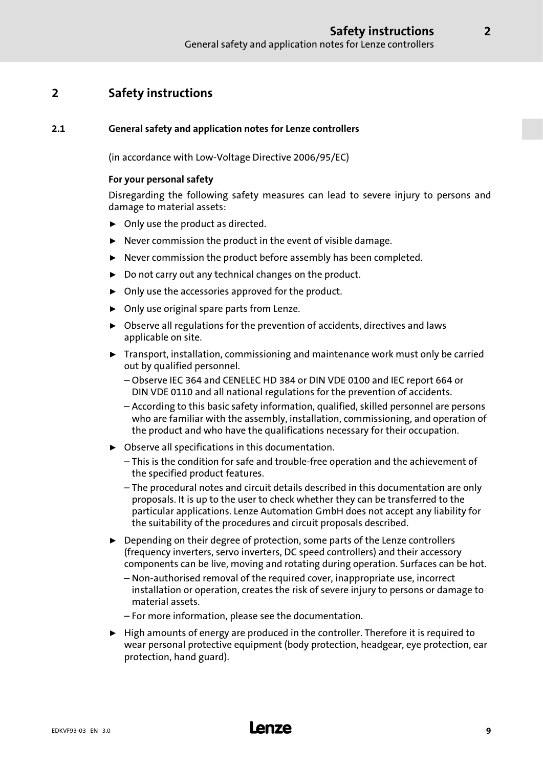## <span id="page-8-0"></span>2 Safety instructions

### 2.1 General safety and application notes for Lenze controllers

(in accordance with Low−Voltage Directive 2006/95/EC)

### For your personal safety

Disregarding the following safety measures can lead to severe injury to persons and damage to material assets:

- $\triangleright$  Only use the product as directed.
- $\blacktriangleright$  Never commission the product in the event of visible damage.
- $\blacktriangleright$  Never commission the product before assembly has been completed.
- $\triangleright$  Do not carry out any technical changes on the product.
- $\triangleright$  Only use the accessories approved for the product.
- $\triangleright$  Only use original spare parts from Lenze.
- $\triangleright$  Observe all regulations for the prevention of accidents, directives and laws applicable on site.
- $\blacktriangleright$  Transport, installation, commissioning and maintenance work must only be carried out by qualified personnel.
	- Observe IEC 364 and CENELEC HD 384 or DIN VDE 0100 and IEC report 664 or DIN VDE 0110 and all national regulations for the prevention of accidents.
	- According to this basic safety information, qualified, skilled personnel are persons who are familiar with the assembly, installation, commissioning, and operation of the product and who have the qualifications necessary for their occupation.
- $\triangleright$  Observe all specifications in this documentation.
	- This is the condition for safe and trouble−free operation and the achievement of the specified product features.
	- The procedural notes and circuit details described in this documentation are only proposals. It is up to the user to check whether they can be transferred to the particular applications. Lenze Automation GmbH does not accept any liability for the suitability of the procedures and circuit proposals described.
- ▶ Depending on their degree of protection, some parts of the Lenze controllers (frequency inverters, servo inverters, DC speed controllers) and their accessory components can be live, moving and rotating during operation. Surfaces can be hot.
	- Non−authorised removal of the required cover, inappropriate use, incorrect installation or operation, creates the risk of severe injury to persons or damage to material assets.
	- For more information, please see the documentation.
- $\blacktriangleright$  High amounts of energy are produced in the controller. Therefore it is required to wear personal protective equipment (body protection, headgear, eye protection, ear protection, hand guard).

## EDKVF93−03 EN 3.0 **Lenze**

2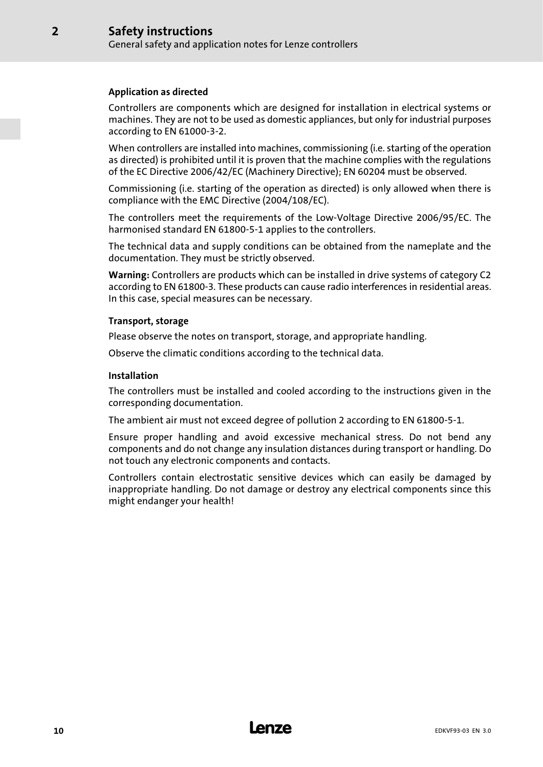### Application as directed

[2](#page-8-0)

Controllers are components which are designed for installation in electrical systems or machines. They are not to be used as domestic appliances, but only for industrial purposes according to EN 61000−3−2.

When controllers are installed into machines, commissioning (i.e. starting of the operation as directed) is prohibited until it is proven that the machine complies with the regulations of the EC Directive 2006/42/EC (Machinery Directive); EN 60204 must be observed.

Commissioning (i.e. starting of the operation as directed) is only allowed when there is compliance with the EMC Directive (2004/108/EC).

The controllers meet the requirements of the Low−Voltage Directive 2006/95/EC. The harmonised standard EN 61800−5−1 applies to the controllers.

The technical data and supply conditions can be obtained from the nameplate and the documentation. They must be strictly observed.

Warning: Controllers are products which can be installed in drive systems of category C2 according to EN 61800−3. These products can cause radio interferences in residential areas. In this case, special measures can be necessary.

### Transport, storage

Please observe the notes on transport, storage, and appropriate handling.

Observe the climatic conditions according to the technical data.

### Installation

The controllers must be installed and cooled according to the instructions given in the corresponding documentation.

The ambient air must not exceed degree of pollution 2 according to EN 61800−5−1.

Ensure proper handling and avoid excessive mechanical stress. Do not bend any components and do not change any insulation distances during transport or handling. Do not touch any electronic components and contacts.

Controllers contain electrostatic sensitive devices which can easily be damaged by inappropriate handling. Do not damage or destroy any electrical components since this might endanger your health!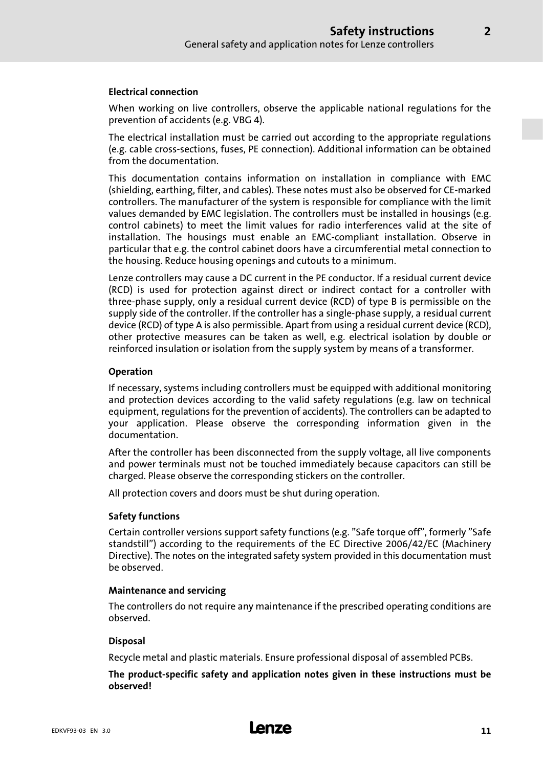### Electrical connection

When working on live controllers, observe the applicable national regulations for the prevention of accidents (e.g. VBG 4).

The electrical installation must be carried out according to the appropriate regulations (e.g. cable cross−sections, fuses, PE connection). Additional information can be obtained from the documentation.

This documentation contains information on installation in compliance with EMC (shielding, earthing, filter, and cables). These notes must also be observed for CE−marked controllers. The manufacturer of the system is responsible for compliance with the limit values demanded by EMC legislation. The controllers must be installed in housings (e.g. control cabinets) to meet the limit values for radio interferences valid at the site of installation. The housings must enable an EMC−compliant installation. Observe in particular that e.g. the control cabinet doors have a circumferential metal connection to the housing. Reduce housing openings and cutouts to a minimum.

Lenze controllers may cause a DC current in the PE conductor. If a residual current device (RCD) is used for protection against direct or indirect contact for a controller with three−phase supply, only a residual current device (RCD) of type B is permissible on the supply side of the controller. If the controller has a single−phase supply, a residual current device (RCD) of type A is also permissible. Apart from using a residual current device (RCD), other protective measures can be taken as well, e.g. electrical isolation by double or reinforced insulation or isolation from the supply system by means of a transformer.

### Operation

If necessary, systems including controllers must be equipped with additional monitoring and protection devices according to the valid safety regulations (e.g. law on technical equipment, regulations for the prevention of accidents). The controllers can be adapted to your application. Please observe the corresponding information given in the documentation.

After the controller has been disconnected from the supply voltage, all live components and power terminals must not be touched immediately because capacitors can still be charged. Please observe the corresponding stickers on the controller.

All protection covers and doors must be shut during operation.

### Safety functions

Certain controller versions support safety functions (e.g. "Safe torque off", formerly "Safe standstill") according to the requirements of the EC Directive 2006/42/EC (Machinery Directive). The notes on the integrated safety system provided in this documentation must be observed.

### Maintenance and servicing

The controllers do not require any maintenance if the prescribed operating conditions are observed.

### Disposal

Recycle metal and plastic materials. Ensure professional disposal of assembled PCBs.

The product−specific safety and application notes given in these instructions must be observed!

[2](#page-8-0)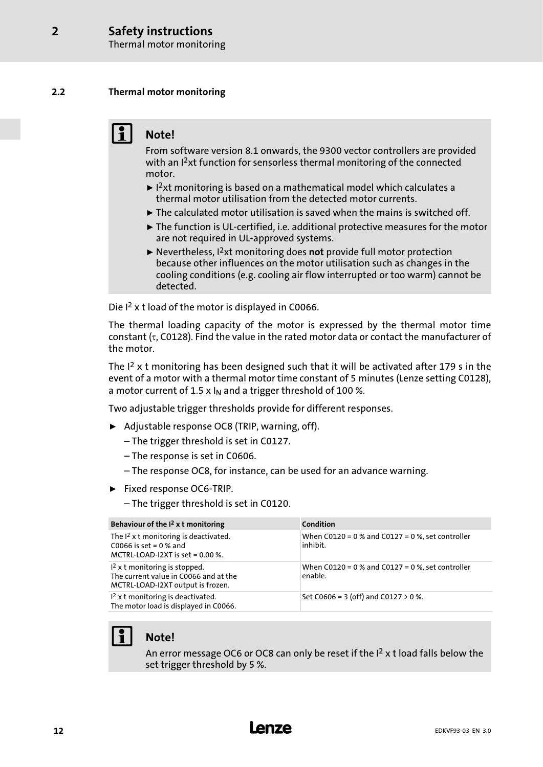Thermal motor monitoring

### <span id="page-11-0"></span>2.2 Thermal motor monitoring

## Note!

From software version 8.1 onwards, the 9300 vector controllers are provided with an I<sup>2</sup>xt function for sensorless thermal monitoring of the connected motor.

- $\blacktriangleright$  1<sup>2</sup>xt monitoring is based on a mathematical model which calculates a thermal motor utilisation from the detected motor currents.
- $\blacktriangleright$  The calculated motor utilisation is saved when the mains is switched off.
- ƒ The function is UL−certified, i.e. additional protective measures for the motor are not required in UL−approved systems.
- $\blacktriangleright$  Nevertheless, I<sup>2</sup>xt monitoring does not provide full motor protection because other influences on the motor utilisation such as changes in the cooling conditions (e.g. cooling air flow interrupted or too warm) cannot be detected.

Die I<sup>2</sup> x t load of the motor is displayed in C0066.

The thermal loading capacity of the motor is expressed by the thermal motor time constant (τ, C0128). Find the value in the rated motor data or contact the manufacturer of the motor.

The  $I<sup>2</sup>$  x t monitoring has been designed such that it will be activated after 179 s in the event of a motor with a thermal motor time constant of 5 minutes (Lenze setting C0128), a motor current of 1.5 x  $I_N$  and a trigger threshold of 100 %.

Two adjustable trigger thresholds provide for different responses.

- ▶ Adjustable response OC8 (TRIP, warning, off).
	- The trigger threshold is set in C0127.
	- The response is set in C0606.
	- The response OC8, for instance, can be used for an advance warning.
- ƒ Fixed response OC6−TRIP.
	- The trigger threshold is set in C0120.

| Behaviour of the $I2$ x t monitoring                                                                          | Condition                                                        |
|---------------------------------------------------------------------------------------------------------------|------------------------------------------------------------------|
| The $I^2$ x t monitoring is deactivated.<br>C0066 is set = $0%$ and<br>MCTRL-LOAD-I2XT is set = $0.00$ %.     | When $C0120 = 0$ % and $C0127 = 0$ %, set controller<br>inhibit. |
| $12$ x t monitoring is stopped.<br>The current value in C0066 and at the<br>MCTRL-LOAD-I2XT output is frozen. | When $C0120 = 0$ % and $C0127 = 0$ %, set controller<br>enable.  |
| $12$ x t monitoring is deactivated.<br>The motor load is displayed in C0066.                                  | Set C0606 = 3 (off) and C0127 $>$ 0 %.                           |



## Note!

An error message OC6 or OC8 can only be reset if the  $I<sup>2</sup>$  x t load falls below the set trigger threshold by 5 %.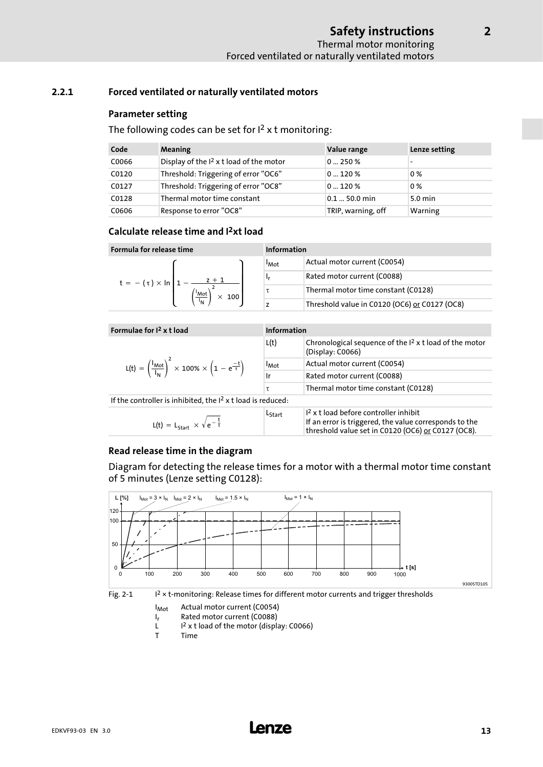### <span id="page-12-0"></span>2.2.1 Forced ventilated or naturally ventilated motors

### Parameter setting

The following codes can be set for  $I<sup>2</sup>$  x t monitoring:

| Code  | Meaning                                    | Value range        | Lenze setting     |
|-------|--------------------------------------------|--------------------|-------------------|
| C0066 | Display of the $I^2$ x t load of the motor | 0250%              |                   |
| C0120 | Threshold: Triggering of error "OC6"       | 0120%              | 0%                |
| C0127 | Threshold: Triggering of error "OC8"       | 0120%              | 0%                |
| C0128 | Thermal motor time constant                | $0.1 - 50.0$ min   | $5.0 \text{ min}$ |
| C0606 | Response to error "OC8"                    | TRIP, warning, off | Warning           |

### Calculate release time and I2xt load

| Formula for release time              | Information              |                                               |
|---------------------------------------|--------------------------|-----------------------------------------------|
|                                       | <b>I</b> Mot             | Actual motor current (C0054)                  |
| $z + 1$<br>$t = -(\tau) \times \ln 1$ | ۱r                       | Rated motor current (C0088)                   |
| 'Mot<br>$\times$ 100                  |                          | Thermal motor time constant (C0128)           |
| $\overline{I_{N}}$                    | $\overline{\phantom{a}}$ | Threshold value in C0120 (OC6) or C0127 (OC8) |

| Formulae for $I2$ x t load                                                                                   | Information                 |                                                                                                                                                         |  |
|--------------------------------------------------------------------------------------------------------------|-----------------------------|---------------------------------------------------------------------------------------------------------------------------------------------------------|--|
|                                                                                                              | L(t)                        | Chronological sequence of the $I2$ x t load of the motor<br>(Display: C0066)                                                                            |  |
| $L(t) = \left(\frac{I_{Mot}}{I_{M}}\right)^{2} \times 100\% \times \left(1 - e^{\frac{-t}{\tau}}\right)^{2}$ | $\mathsf{I}_{\mathsf{Mot}}$ | Actual motor current (C0054)                                                                                                                            |  |
|                                                                                                              | Ir                          | Rated motor current (C0088)                                                                                                                             |  |
|                                                                                                              | τ                           | Thermal motor time constant (C0128)                                                                                                                     |  |
| If the controller is inhibited, the $I2$ x t load is reduced:                                                |                             |                                                                                                                                                         |  |
| $L(t) = L_{start} \times \sqrt{e^{-\frac{t}{\tau}}}$                                                         | Lstart                      | $12$ x t load before controller inhibit<br>If an error is triggered, the value corresponds to the<br>threshold value set in C0120 (OC6) or C0127 (OC8). |  |

### Read release time in the diagram

Diagram for detecting the release times for a motor with a thermal motor time constant of 5 minutes (Lenze setting C0128):



 $I_{Mot}$  Actual motor current (C0054)<br> $I_r$  Rated motor current (C0088)

- $I_r$  Rated motor current (C0088)<br>L  $I^2$  x t load of the motor (displa
	- $1<sup>2</sup>$  x t load of the motor (display: C0066)
- T Time

[2](#page-8-0)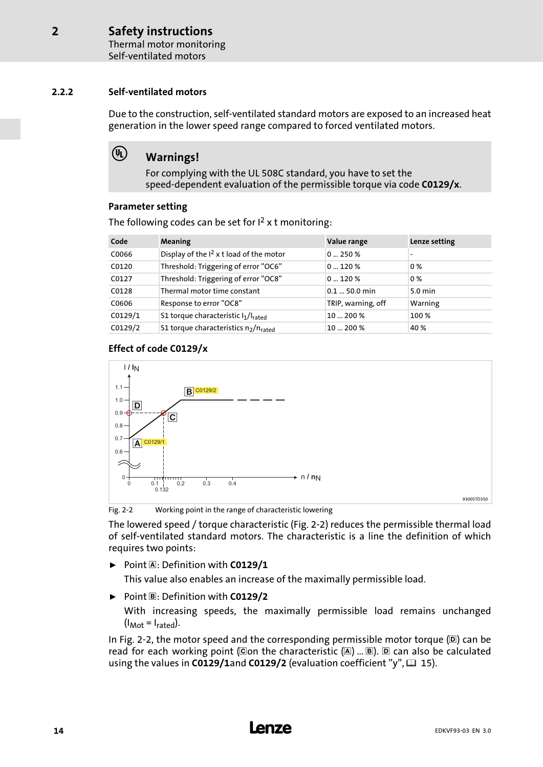Thermal motor monitoring Self−ventilated motors

### <span id="page-13-0"></span>2.2.2 Self−ventilated motors

Due to the construction, self−ventilated standard motors are exposed to an increased heat generation in the lower speed range compared to forced ventilated motors.

## (4) Warnings!

For complying with the UL 508C standard, you have to set the speed−dependent evaluation of the permissible torque via code C0129/x.

### Parameter setting

| Code    | <b>Meaning</b>                                               | Value range        | Lenze setting     |
|---------|--------------------------------------------------------------|--------------------|-------------------|
| C0066   | Display of the I <sup>2</sup> x t load of the motor          | 0250%              |                   |
| C0120   | Threshold: Triggering of error "OC6"                         | 0120%              | $0\%$             |
| C0127   | Threshold: Triggering of error "OC8"                         | 0120%              | $0\%$             |
| C0128   | Thermal motor time constant                                  | $0.150.0$ min      | $5.0 \text{ min}$ |
| C0606   | Response to error "OC8"                                      | TRIP, warning, off | Warning           |
| CO129/1 | S1 torque characteristic l1/lrated                           | 10  200 %          | 100 %             |
| CO129/2 | S1 torque characteristics n <sub>2</sub> /n <sub>rated</sub> | 10  200 %          | 40 %              |

The following codes can be set for  $I<sup>2</sup>$  x t monitoring:

### Effect of code C0129/x



Fig. 2−2 Working point in the range of characteristic lowering

The lowered speed / torque characteristic (Fig. 2−2) reduces the permissible thermal load of self−ventilated standard motors. The characteristic is a line the definition of which requires two points:

 $\triangleright$  Point A: Definition with C0129/1

This value also enables an increase of the maximally permissible load.

 $\triangleright$  Point  $\mathbb{B}$ : Definition with C0129/2

With increasing speeds, the maximally permissible load remains unchanged  $(I_{Mot} = I_{\text{rated}}).$ 

In Fig. 2-2, the motor speed and the corresponding permissible motor torque (D) can be read for each working point (Con the characteristic  $(\mathbb{A})$  ...  $\mathbb{B}$ ).  $\mathbb{D}$  can also be calculated using the values in C0129/1and C0129/2 (evaluation coefficient "y",  $\Box$  [15](#page-14-0)).

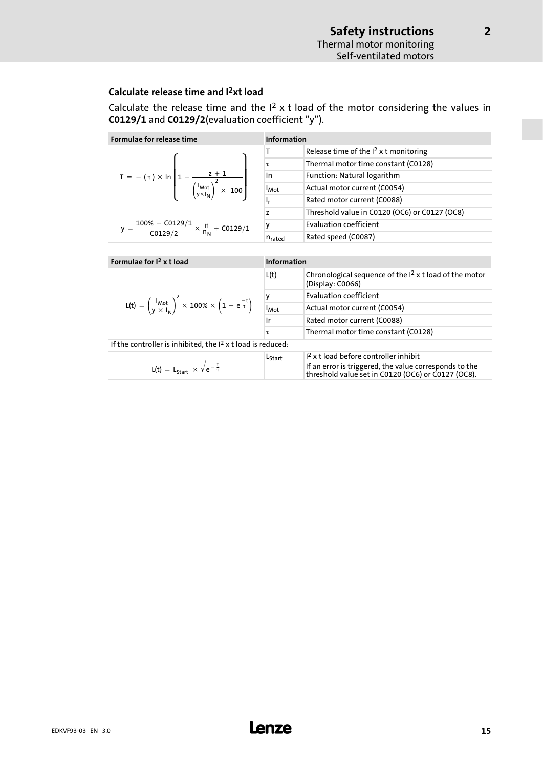[2](#page-8-0)

### <span id="page-14-0"></span>Calculate release time and I2xt load

Calculate the release time and the  $I^2$  x t load of the motor considering the values in C0129/1 and C0129/2(evaluation coefficient "y").

| Formulae for release time                                                                                                      | <b>Information</b>      |                                                                              |
|--------------------------------------------------------------------------------------------------------------------------------|-------------------------|------------------------------------------------------------------------------|
|                                                                                                                                | Τ                       | Release time of the $I2$ x t monitoring                                      |
|                                                                                                                                | τ                       | Thermal motor time constant (C0128)                                          |
| T = $- (\tau) \times \ln \left[ 1 - \frac{z + 1}{\left( \frac{I_{Mot}}{y \times I_N} \right)^2 \times 100} \right]$            | In                      | Function: Natural logarithm                                                  |
|                                                                                                                                | <b>I</b> <sub>Mot</sub> | Actual motor current (C0054)                                                 |
|                                                                                                                                | ı,                      | Rated motor current (C0088)                                                  |
|                                                                                                                                | z                       | Threshold value in C0120 (OC6) or C0127 (OC8)                                |
| y = $\frac{100\% - C0129/1}{C0129/2} \times \frac{n}{n_N} + C0129/1$                                                           | y                       | <b>Evaluation coefficient</b>                                                |
|                                                                                                                                | $n_{\rm{rated}}$        | Rated speed (C0087)                                                          |
|                                                                                                                                |                         |                                                                              |
|                                                                                                                                | <b>Information</b>      |                                                                              |
| Formulae for $I2$ x t load                                                                                                     |                         |                                                                              |
|                                                                                                                                | L(t)                    | Chronological sequence of the $I2$ x t load of the motor<br>(Display: C0066) |
|                                                                                                                                |                         | <b>Evaluation coefficient</b>                                                |
| L(t) = $\left(\frac{I_{\text{Mot}}}{V \times I_{\text{bl}}}\right)^2 \times 100\% \times \left(1 - e^{\frac{-t}{\tau}}\right)$ | -<br>I <sub>Mot</sub>   | Actual motor current (C0054)                                                 |
|                                                                                                                                | Ir                      | Rated motor current (C0088)                                                  |
|                                                                                                                                | τ                       | Thermal motor time constant (C0128)                                          |
| If the controller is inhibited, the $12$ x t load is reduced:                                                                  |                         |                                                                              |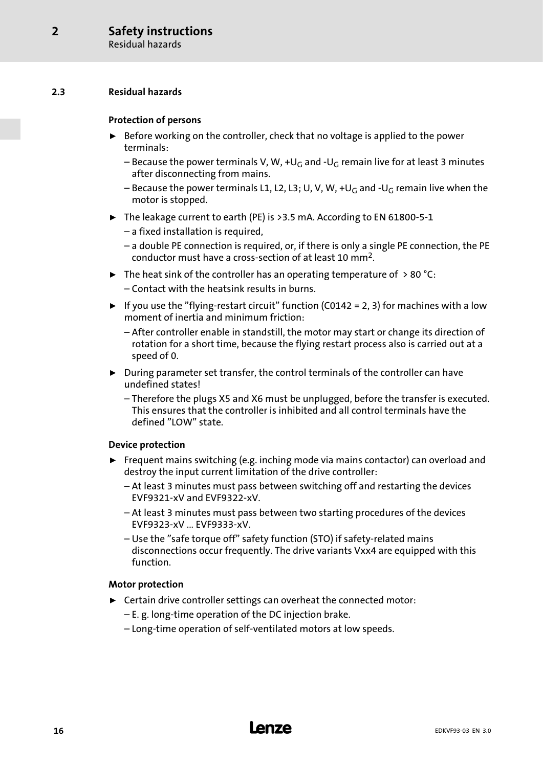### <span id="page-15-0"></span>2.3 Residual hazards

### Protection of persons

- $\triangleright$  Before working on the controller, check that no voltage is applied to the power terminals:
	- Because the power terminals V, W, +U<sub>G</sub> and -U<sub>G</sub> remain live for at least 3 minutes after disconnecting from mains.
	- Because the power terminals L1, L2, L3; U, V, W, +UG and −UG remain live when the motor is stopped.
- ƒ The leakage current to earth (PE) is >3.5 mA. According to EN 61800−5−1
	- a fixed installation is required,
	- a double PE connection is required, or, if there is only a single PE connection, the PE conductor must have a cross−section of at least 10 mm2.
- $\blacktriangleright$  The heat sink of the controller has an operating temperature of  $> 80$  °C: – Contact with the heatsink results in burns.
- ► If you use the "flying-restart circuit" function (C0142 = 2, 3) for machines with a low moment of inertia and minimum friction:
	- After controller enable in standstill, the motor may start or change its direction of rotation for a short time, because the flying restart process also is carried out at a speed of 0.
- $\triangleright$  During parameter set transfer, the control terminals of the controller can have undefined states!
	- Therefore the plugs X5 and X6 must be unplugged, before the transfer is executed. This ensures that the controller is inhibited and all control terminals have the defined "LOW" state.

### Device protection

- $\blacktriangleright$  Frequent mains switching (e.g. inching mode via mains contactor) can overload and destroy the input current limitation of the drive controller:
	- At least 3 minutes must pass between switching off and restarting the devices EVF9321−xV and EVF9322−xV.
	- At least 3 minutes must pass between two starting procedures of the devices EVF9323−xV ... EVF9333−xV.
	- Use the "safe torque off" safety function (STO) if safety−related mains disconnections occur frequently. The drive variants Vxx4 are equipped with this function.

### Motor protection

- $\blacktriangleright$  Certain drive controller settings can overheat the connected motor:
	- E. g. long−time operation of the DC injection brake.
	- Long−time operation of self−ventilated motors at low speeds.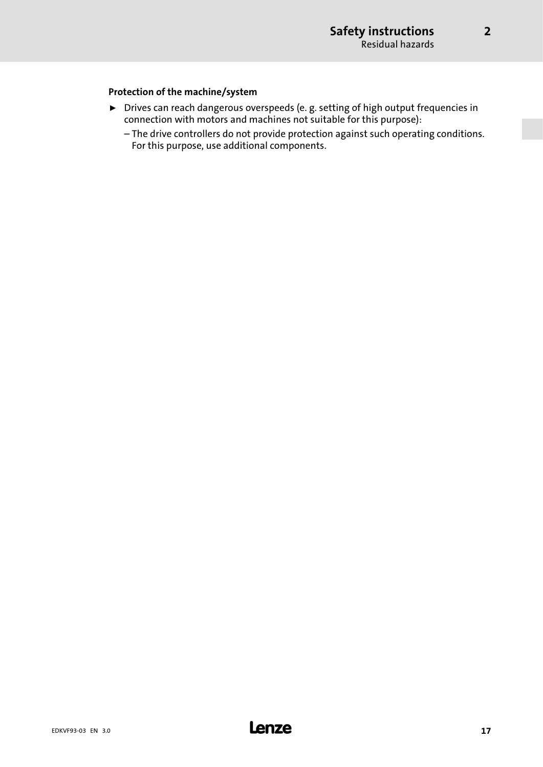[2](#page-8-0)

### Protection of the machine/system

- ▶ Drives can reach dangerous overspeeds (e. g. setting of high output frequencies in connection with motors and machines not suitable for this purpose):
	- The drive controllers do not provide protection against such operating conditions. For this purpose, use additional components.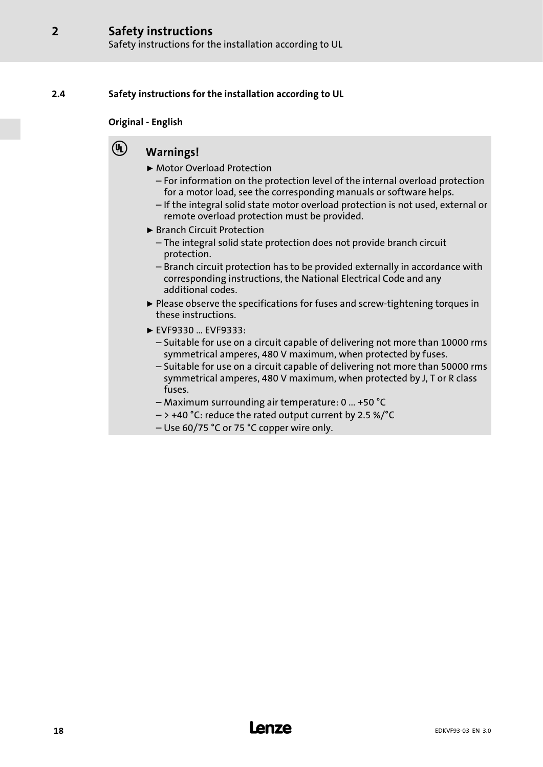### <span id="page-17-0"></span>2.4 Safety instructions for the installation according to UL

### Original − English

## (4) Warnings!

- ▶ Motor Overload Protection
	- For information on the protection level of the internal overload protection for a motor load, see the corresponding manuals or software helps.
	- If the integral solid state motor overload protection is not used, external or remote overload protection must be provided.
- ▶ Branch Circuit Protection
	- The integral solid state protection does not provide branch circuit protection.
	- Branch circuit protection has to be provided externally in accordance with corresponding instructions, the National Electrical Code and any additional codes.
- ƒ Please observe the specifications for fuses and screw−tightening torques in these instructions.
- $\blacktriangleright$  EVF9330 ... EVF9333:
	- Suitable for use on a circuit capable of delivering not more than 10000 rms symmetrical amperes, 480 V maximum, when protected by fuses.
	- Suitable for use on a circuit capable of delivering not more than 50000 rms symmetrical amperes, 480 V maximum, when protected by J, T or R class fuses.
	- Maximum surrounding air temperature: 0 ... +50 °C
	- $-$  > +40 °C: reduce the rated output current by 2.5 %/°C
	- Use 60/75 °C or 75 °C copper wire only.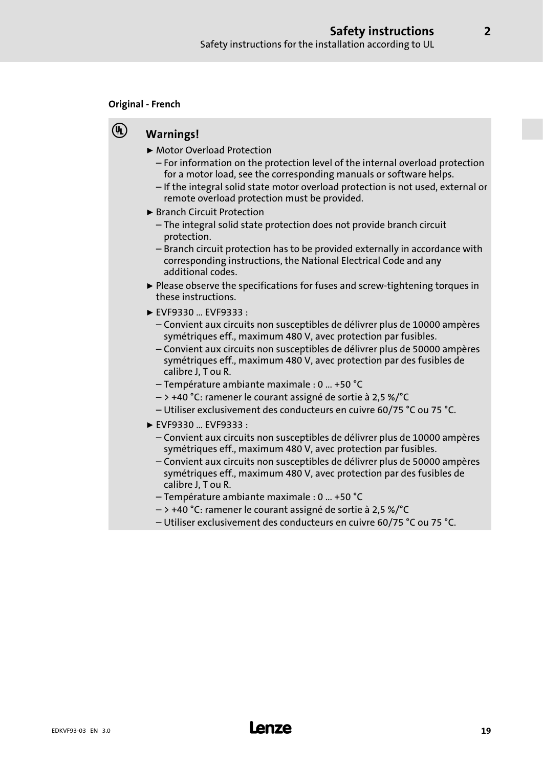### Original − French

## **(4)** Warnings!

- ▶ Motor Overload Protection
	- For information on the protection level of the internal overload protection for a motor load, see the corresponding manuals or software helps.
	- If the integral solid state motor overload protection is not used, external or remote overload protection must be provided.
- ▶ Branch Circuit Protection
	- The integral solid state protection does not provide branch circuit protection.
	- Branch circuit protection has to be provided externally in accordance with corresponding instructions, the National Electrical Code and any additional codes.
- ƒ Please observe the specifications for fuses and screw−tightening torques in these instructions.
- $\blacktriangleright$  EVF9330 ... EVF9333 :
	- Convient aux circuits non susceptibles de délivrer plus de 10000 ampères symétriques eff., maximum 480 V, avec protection par fusibles.
	- Convient aux circuits non susceptibles de délivrer plus de 50000 ampères symétriques eff., maximum 480 V, avec protection par des fusibles de calibre J, T ou R.
	- Température ambiante maximale : 0 ... +50 °C
	- > +40 °C: ramener le courant assigné de sortie à 2,5 %/°C
	- Utiliser exclusivement des conducteurs en cuivre 60/75 °C ou 75 °C.
- ► EVF9330 ... EVF9333 :
	- Convient aux circuits non susceptibles de délivrer plus de 10000 ampères symétriques eff., maximum 480 V, avec protection par fusibles.
	- Convient aux circuits non susceptibles de délivrer plus de 50000 ampères symétriques eff., maximum 480 V, avec protection par des fusibles de calibre J, T ou R.
	- Température ambiante maximale : 0 ... +50 °C
	- > +40 °C: ramener le courant assigné de sortie à 2,5 %/°C
	- Utiliser exclusivement des conducteurs en cuivre 60/75 °C ou 75 °C.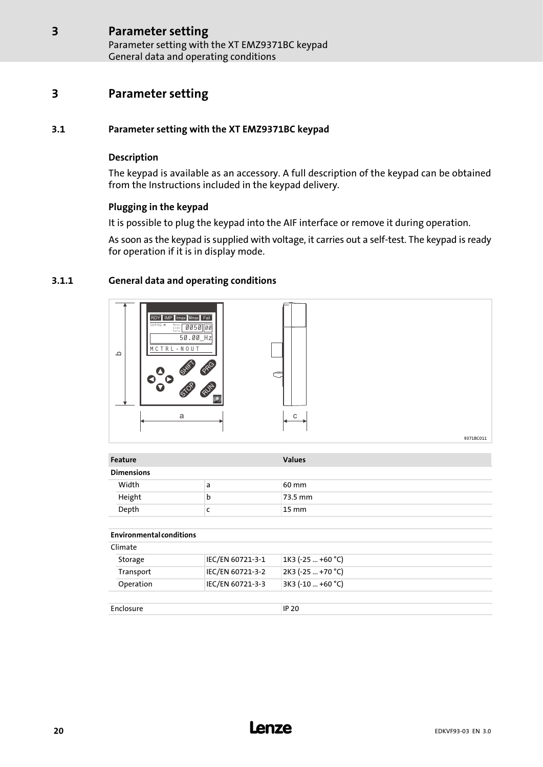Parameter setting with the XT EMZ9371BC keypad General data and operating conditions

## <span id="page-19-0"></span>3 Parameter setting

### 3.1 Parameter setting with the XT EMZ9371BC keypad

### Description

The keypad is available as an accessory. A full description of the keypad can be obtained from the Instructions included in the keypad delivery.

### Plugging in the keypad

It is possible to plug the keypad into the AIF interface or remove it during operation.

As soon as the keypad is supplied with voltage, it carries out a self−test. The keypad is ready for operation if it is in display mode.

### 3.1.1 General data and operating conditions



| Feature                         |                                      | <b>Values</b>                            |
|---------------------------------|--------------------------------------|------------------------------------------|
| <b>Dimensions</b>               |                                      |                                          |
| Width                           | a                                    | 60 mm                                    |
| Height                          | b                                    | 73.5 mm                                  |
| Depth                           | c                                    | 15 mm                                    |
|                                 |                                      |                                          |
| <b>Environmental conditions</b> |                                      |                                          |
| Climate                         |                                      |                                          |
| Storage<br>Transport            | IEC/EN 60721-3-1<br>IEC/EN 60721-3-2 | $1K3$ (-25  +60 °C)<br>2K3 (-25  +70 °C) |

Enclosure IP 20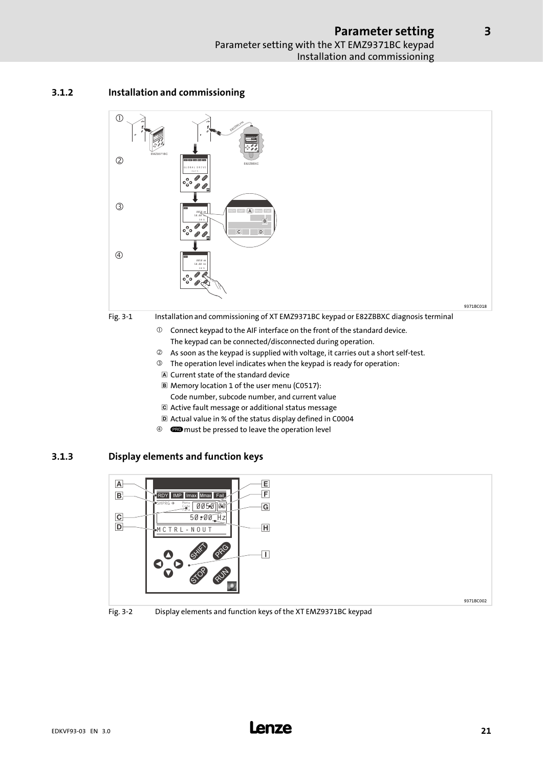### <span id="page-20-0"></span>3.1.2 Installation and commissioning



- Current state of the standard device
- Memory location 1 of the user menu (C0517): Code number, subcode number, and current value
- Active fault message or additional status message
- Actual value in % of the status display defined in C0004
- <sup>4</sup> **exe** must be pressed to leave the operation level

### 3.1.3 Display elements and function keys





[3](#page-19-0)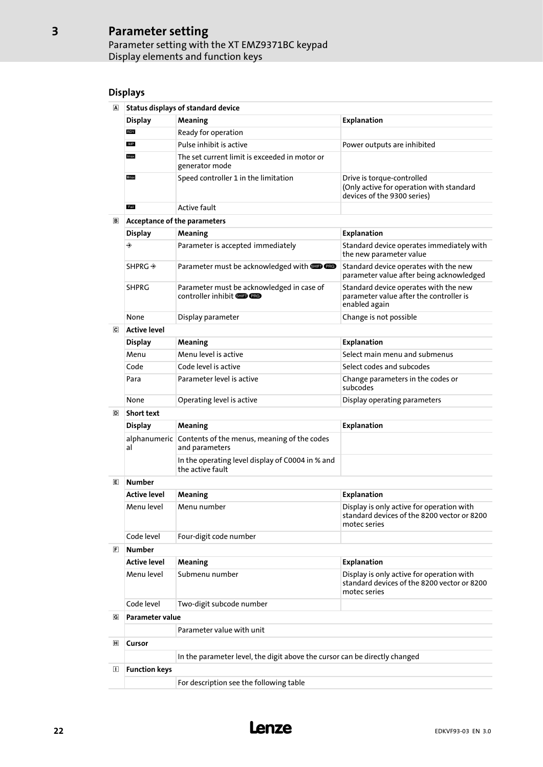### Parameter setting Parameter setting with the XT EMZ9371BC keypad Display elements and function keys

### Displays

| Status displays of standard device |                                                                 |                                                                                                       |  |
|------------------------------------|-----------------------------------------------------------------|-------------------------------------------------------------------------------------------------------|--|
| <b>Display</b>                     | Meaning                                                         | <b>Explanation</b>                                                                                    |  |
| <b>RDY</b>                         | Ready for operation                                             |                                                                                                       |  |
| <b>IMP</b>                         | Pulse inhibit is active                                         | Power outputs are inhibited                                                                           |  |
| Imax                               | The set current limit is exceeded in motor or<br>generator mode |                                                                                                       |  |
| Mmax                               | Speed controller 1 in the limitation                            | Drive is torque-controlled<br>(Only active for operation with standard<br>devices of the 9300 series) |  |
| Fail                               | Active fault                                                    |                                                                                                       |  |

#### Acceptance of the parameters

| Acceptance of the parameters |                                                                                |                                                                                                   |  |  |
|------------------------------|--------------------------------------------------------------------------------|---------------------------------------------------------------------------------------------------|--|--|
| <b>Display</b>               | <b>Meaning</b>                                                                 | <b>Explanation</b>                                                                                |  |  |
| ◈                            | Parameter is accepted immediately                                              | Standard device operates immediately with<br>the new parameter value                              |  |  |
| $SHPRG \rightarrow$          | Parameter must be acknowledged with <b>SID CRO</b>                             | Standard device operates with the new<br>parameter value after being acknowledged                 |  |  |
| <b>SHPRG</b>                 | Parameter must be acknowledged in case of<br>controller inhibit <b>SID CRO</b> | Standard device operates with the new<br>parameter value after the controller is<br>enabled again |  |  |
| None                         | Display parameter                                                              | Change is not possible                                                                            |  |  |
|                              |                                                                                |                                                                                                   |  |  |

#### $\overline{\mathbf{c}}$

| Active level   |                           |                                               |  |  |
|----------------|---------------------------|-----------------------------------------------|--|--|
| <b>Display</b> | Meaning                   | Explanation                                   |  |  |
| Menu           | Menu level is active      | Select main menu and submenus                 |  |  |
| Code           | Code level is active      | Select codes and subcodes                     |  |  |
| Para           | Parameter level is active | Change parameters in the codes or<br>subcodes |  |  |
| None           | Operating level is active | Display operating parameters                  |  |  |

#### D Short text

| <b>SHOLL LEXL</b> |                                                                            |                    |  |
|-------------------|----------------------------------------------------------------------------|--------------------|--|
| <b>Display</b>    | <b>Meaning</b>                                                             | <b>Explanation</b> |  |
| al                | alphanumeric Contents of the menus, meaning of the codes<br>and parameters |                    |  |
|                   | In the operating level display of C0004 in % and<br>the active fault       |                    |  |

#### Number

|  | <b>Active level</b> | Meaning                | <b>Explanation</b>                                                                                       |  |
|--|---------------------|------------------------|----------------------------------------------------------------------------------------------------------|--|
|  | Menu level          | Menu number            | Display is only active for operation with<br>standard devices of the 8200 vector or 8200<br>motec series |  |
|  | Code level          | Four-digit code number |                                                                                                          |  |
|  | .                   |                        |                                                                                                          |  |

#### Number

|                         | <b>Active level</b> | <b>Meaning</b>            | Explanation                                                                                              |  |
|-------------------------|---------------------|---------------------------|----------------------------------------------------------------------------------------------------------|--|
|                         | Menu level          | Submenu number            | Display is only active for operation with<br>standard devices of the 8200 vector or 8200<br>motec series |  |
|                         | Code level          | Two-digit subcode number  |                                                                                                          |  |
| G                       | Parameter value     |                           |                                                                                                          |  |
|                         |                     | Parameter value with unit |                                                                                                          |  |
| $\overline{\mathbf{H}}$ | Cursor              |                           |                                                                                                          |  |

### In the parameter level, the digit above the cursor can be directly changed

### Function keys

For description see the following table

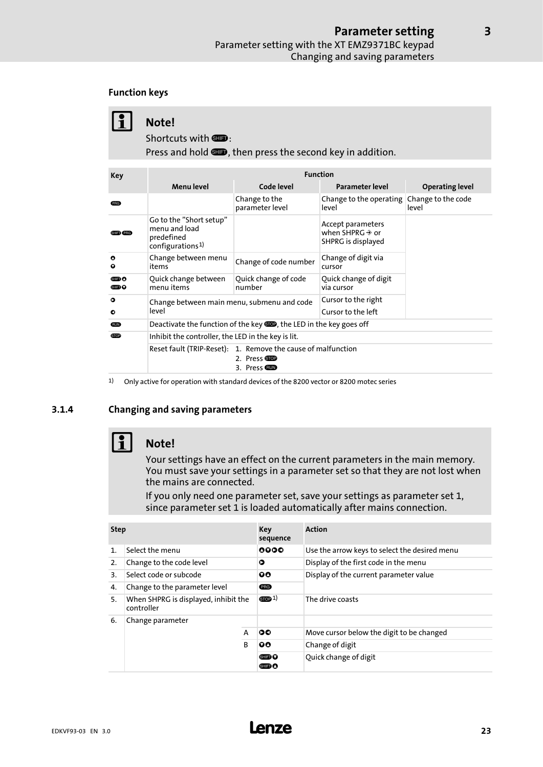### <span id="page-22-0"></span>Function keys

|                  | Note!<br>Shortcuts with <b>SHD</b> :<br>Press and hold <b>COD</b> , then press the second key in addition. |                                  |                                                                        |                             |  |
|------------------|------------------------------------------------------------------------------------------------------------|----------------------------------|------------------------------------------------------------------------|-----------------------------|--|
|                  |                                                                                                            |                                  |                                                                        |                             |  |
| Key              | <b>Function</b>                                                                                            |                                  |                                                                        |                             |  |
|                  | <b>Menulevel</b>                                                                                           | Code level                       | Parameter level                                                        | <b>Operating level</b>      |  |
| <b>PRG</b>       |                                                                                                            | Change to the<br>parameter level | Change to the operating<br>level                                       | Change to the code<br>level |  |
| <b>SHIFT</b> PRG | Go to the "Short setup"<br>menu and load<br>predefined<br>configurations <sup>1)</sup>                     |                                  | Accept parameters<br>when SHPRG $\rightarrow$ or<br>SHPRG is displayed |                             |  |

items Change of code number Change of digit via

cursor

via cursor

Quick change of digit

Cursor to the right

|  | Reset fault (TRIP-Reset): 1. Remove the cause of malfunction |
|--|--------------------------------------------------------------|
|  | 2. Press STOP                                                |
|  | 3. Press CEUD                                                |

Quick change of code

number

**• Cursor to the left EXECUTE:** Deactivate the function of the key **EXECUTE:** the LED in the key goes off

1) Only active for operation with standard devices of the 8200 vector or 8200 motec series

### 3.1.4 Changing and saving parameters

Change between menu

Quick change between

**O** Change between main menu, submenu and code

**EXECUTE:** Inhibit the controller, the LED in the key is lit.

menu items

level



 $\bullet$  $\bullet$ 

௵ ണം റ

### Note!

Your settings have an effect on the current parameters in the main memory. You must save your settings in a parameter set so that they are not lost when the mains are connected.

If you only need one parameter set, save your settings as parameter set 1, since parameter set 1 is loaded automatically after mains connection.

| <b>Step</b>    |                                                    | Key<br>sequence | <b>Action</b>         |                                               |  |
|----------------|----------------------------------------------------|-----------------|-----------------------|-----------------------------------------------|--|
| $\mathbf{1}$ . | Select the menu                                    |                 | 0000                  | Use the arrow keys to select the desired menu |  |
| 2.             | Change to the code level                           |                 | Ο                     | Display of the first code in the menu         |  |
| 3.             | Select code or subcode                             |                 | 90                    | Display of the current parameter value        |  |
| 4.             | Change to the parameter level                      |                 | <b>PRG</b>            |                                               |  |
| 5.             | When SHPRG is displayed, inhibit the<br>controller |                 | $_{\text{STOP}} 1)$   | The drive coasts                              |  |
| 6.             | Change parameter                                   |                 |                       |                                               |  |
|                |                                                    | A               | 00                    | Move cursor below the digit to be changed     |  |
|                |                                                    | <sub>R</sub>    | 00                    | Change of digit                               |  |
|                |                                                    | 6⊞D 0<br>G⊞D O  | Quick change of digit |                                               |  |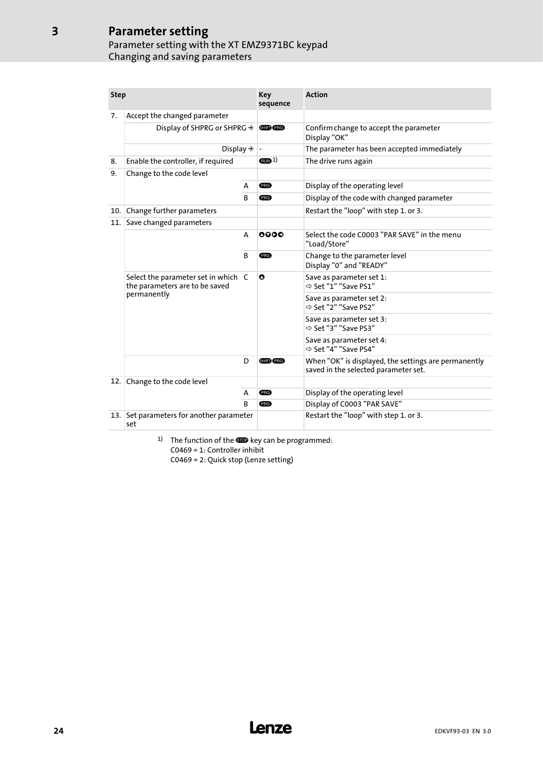### Parameter setting Parameter setting with the XT EMZ9371BC keypad Changing and saving parameters

| <b>Step</b> |                                                                       |   | Key<br>sequence   | <b>Action</b>                                                                                |
|-------------|-----------------------------------------------------------------------|---|-------------------|----------------------------------------------------------------------------------------------|
| 7.          | Accept the changed parameter                                          |   |                   |                                                                                              |
|             | Display of SHPRG or SHPRG $\rightarrow$                               |   | <b>SHIED PRG</b>  | Confirm change to accept the parameter<br>Display "OK"                                       |
|             | Display $\Rightarrow$                                                 |   |                   | The parameter has been accepted immediately                                                  |
| 8.          | Enable the controller, if required                                    |   | (m <sub>1</sub> ) | The drive runs again                                                                         |
| 9.          | Change to the code level                                              |   |                   |                                                                                              |
|             |                                                                       |   | <b>PRG</b>        | Display of the operating level                                                               |
|             |                                                                       |   | <b>PRG</b>        | Display of the code with changed parameter                                                   |
| 10.1        | Change further parameters                                             |   |                   | Restart the "loop" with step 1. or 3.                                                        |
| 11.         | Save changed parameters                                               |   |                   |                                                                                              |
|             |                                                                       | A | 0000              | Select the code C0003 "PAR SAVE" in the menu<br>"Load/Store"                                 |
|             | B                                                                     |   | <b>PRG</b>        | Change to the parameter level<br>Display "0" and "READY"                                     |
|             | Select the parameter set in which C<br>the parameters are to be saved |   | O                 | Save as parameter set 1:<br>⇒ Set "1" "Save PS1"                                             |
|             | permanently                                                           |   |                   | Save as parameter set 2:<br>⇒ Set "2" "Save PS2"                                             |
|             |                                                                       |   |                   | Save as parameter set 3:<br>⇒ Set "3" "Save PS3"                                             |
|             |                                                                       |   |                   | Save as parameter set 4:<br>⇒ Set "4" "Save PS4"                                             |
|             | D                                                                     |   | SHIFT PRG         | When "OK" is displayed, the settings are permanently<br>saved in the selected parameter set. |
| 12.         | Change to the code level                                              |   |                   |                                                                                              |
|             |                                                                       | A | <b>PRG</b>        | Display of the operating level                                                               |
|             |                                                                       | B | <b>PRG</b>        | Display of C0003 "PAR SAVE"                                                                  |
| 13.1        | Set parameters for another parameter<br>set                           |   |                   | Restart the "loop" with step 1. or 3.                                                        |

1) The function of the  $\blacksquare$  key can be programmed: C0469 = 1: Controller inhibit C0469 = 2: Quick stop (Lenze setting)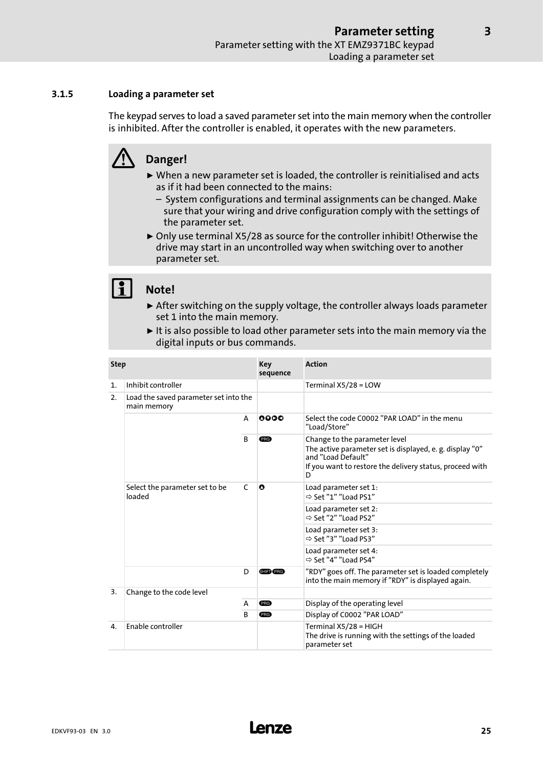### <span id="page-24-0"></span>3.1.5 Loading a parameter set

The keypad serves to load a saved parameter set into the main memory when the controller is inhibited. After the controller is enabled, it operates with the new parameters.

## Danger!

- $\triangleright$  When a new parameter set is loaded, the controller is reinitialised and acts as if it had been connected to the mains:
	- System configurations and terminal assignments can be changed. Make sure that your wiring and drive configuration comply with the settings of the parameter set.
- ▶ Only use terminal X5/28 as source for the controller inhibit! Otherwise the drive may start in an uncontrolled way when switching over to another parameter set.

### Note!

- $\triangleright$  After switching on the supply voltage, the controller always loads parameter set 1 into the main memory.
- $\blacktriangleright$  It is also possible to load other parameter sets into the main memory via the digital inputs or bus commands.

| <b>Step</b>                                                |                                          | Key<br>sequence | <b>Action</b>    |                                                                                                                                                                                  |
|------------------------------------------------------------|------------------------------------------|-----------------|------------------|----------------------------------------------------------------------------------------------------------------------------------------------------------------------------------|
| 1.                                                         | Inhibit controller                       |                 |                  | Terminal $X5/28 = LOW$                                                                                                                                                           |
| Load the saved parameter set into the<br>2.<br>main memory |                                          |                 |                  |                                                                                                                                                                                  |
|                                                            |                                          | A               | 0000             | Select the code C0002 "PAR LOAD" in the menu<br>"Load/Store"                                                                                                                     |
|                                                            | <sub>B</sub>                             |                 | PRG              | Change to the parameter level<br>The active parameter set is displayed, e. g. display "0"<br>and "Load Default"<br>If you want to restore the delivery status, proceed with<br>D |
|                                                            | Select the parameter set to be<br>loaded |                 | O                | Load parameter set 1:<br>$\Rightarrow$ Set "1" "Load PS1"                                                                                                                        |
|                                                            |                                          |                 |                  | Load parameter set 2:<br>⇒ Set "2" "Load PS2"                                                                                                                                    |
|                                                            |                                          |                 |                  | Load parameter set 3:<br>$\Rightarrow$ Set "3" "Load PS3"                                                                                                                        |
|                                                            |                                          |                 |                  | Load parameter set 4:<br>$\Rightarrow$ Set "4" "Load PS4"                                                                                                                        |
|                                                            |                                          | D               | <b>SHIFT</b> PRG | "RDY" goes off. The parameter set is loaded completely<br>into the main memory if "RDY" is displayed again.                                                                      |
| 3.                                                         | Change to the code level<br>A<br>B       |                 |                  |                                                                                                                                                                                  |
|                                                            |                                          |                 | PRG              | Display of the operating level                                                                                                                                                   |
|                                                            |                                          |                 | (PRG)            | Display of C0002 "PAR LOAD"                                                                                                                                                      |
| $\mathbf{4}$                                               | <b>Fnable controller</b>                 |                 |                  | Terminal X5/28 = HIGH                                                                                                                                                            |
|                                                            |                                          |                 |                  | The drive is running with the settings of the loaded<br>parameter set                                                                                                            |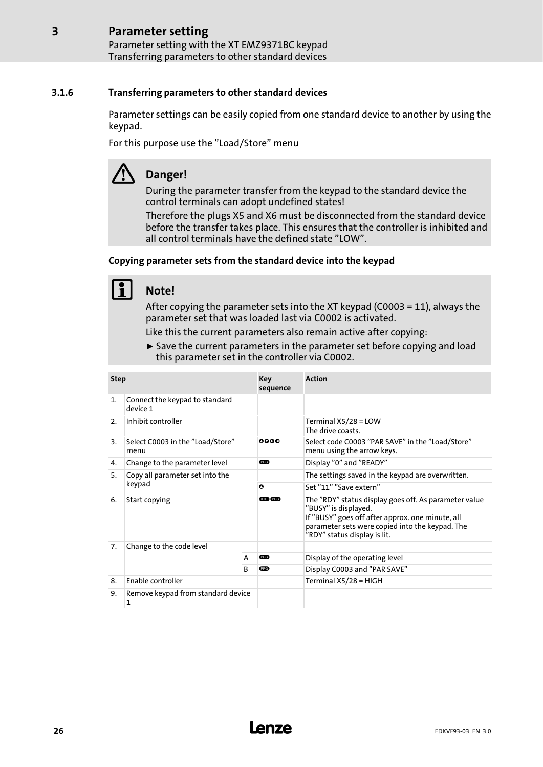#### <span id="page-25-0"></span>Parameter setting [3](#page-19-0)

Parameter setting with the XT EMZ9371BC keypad Transferring parameters to other standard devices

### 3.1.6 Transferring parameters to other standard devices

Parameter settings can be easily copied from one standard device to another by using the keypad.

For this purpose use the "Load/Store" menu

## Danger!

During the parameter transfer from the keypad to the standard device the control terminals can adopt undefined states!

Therefore the plugs X5 and X6 must be disconnected from the standard device before the transfer takes place. This ensures that the controller is inhibited and all control terminals have the defined state "LOW".

### Copying parameter sets from the standard device into the keypad

## Note!

After copying the parameter sets into the XT keypad (C0003 = 11), always the parameter set that was loaded last via C0002 is activated.

Like this the current parameters also remain active after copying:

 $\triangleright$  Save the current parameters in the parameter set before copying and load this parameter set in the controller via C0002.

| <b>Step</b>    |                                            |   | Key<br>sequence | <b>Action</b>                                                                                                                                                                                                        |  |
|----------------|--------------------------------------------|---|-----------------|----------------------------------------------------------------------------------------------------------------------------------------------------------------------------------------------------------------------|--|
| $\mathbf{1}$ . | Connect the keypad to standard<br>device 1 |   |                 |                                                                                                                                                                                                                      |  |
| 2.             | Inhibit controller                         |   |                 | Terminal $X5/28 = LOW$<br>The drive coasts.                                                                                                                                                                          |  |
| 3.             | Select C0003 in the "Load/Store"<br>menu   |   | 0000            | Select code C0003 "PAR SAVE" in the "Load/Store"<br>menu using the arrow keys.                                                                                                                                       |  |
| 4.             | Change to the parameter level              |   | <b>ERG</b>      | Display "0" and "READY"                                                                                                                                                                                              |  |
| 5.             | Copy all parameter set into the            |   |                 | The settings saved in the keypad are overwritten.                                                                                                                                                                    |  |
|                | keypad                                     |   | $\bullet$       | Set "11" "Save extern"                                                                                                                                                                                               |  |
| 6.             | Start copying                              |   | GHED (PRG)      | The "RDY" status display goes off. As parameter value<br>"BUSY" is displayed.<br>If "BUSY" goes off after approx. one minute, all<br>parameter sets were copied into the keypad. The<br>"RDY" status display is lit. |  |
| 7.             | Change to the code level                   |   |                 |                                                                                                                                                                                                                      |  |
|                |                                            | A | <b>ERG</b>      | Display of the operating level                                                                                                                                                                                       |  |
|                |                                            |   | <b>ERG</b>      | Display C0003 and "PAR SAVE"                                                                                                                                                                                         |  |
| 8.             | <b>Enable controller</b>                   |   |                 | Terminal X5/28 = HIGH                                                                                                                                                                                                |  |
| 9.             | Remove keypad from standard device<br>1    |   |                 |                                                                                                                                                                                                                      |  |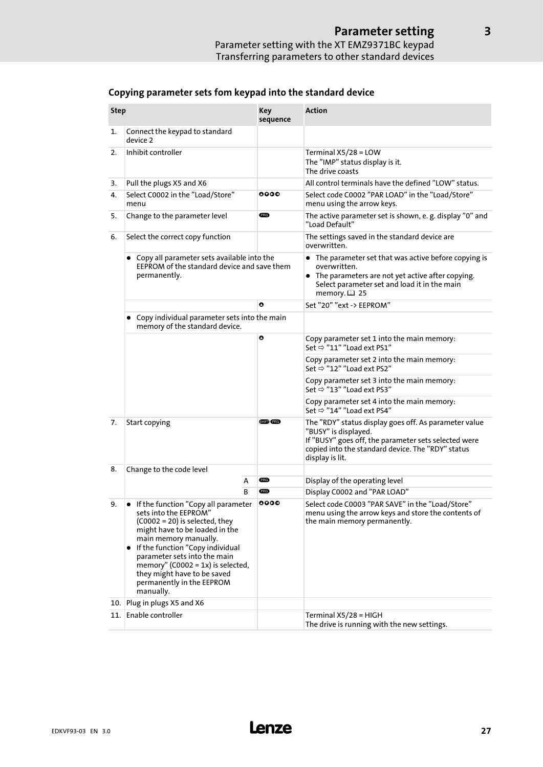| <b>Step</b> |                                                                                                                                                                                                                                                                                                                                                              | <b>Key</b><br>sequence | <b>Action</b>                                                                                                                                                                                                 |  |
|-------------|--------------------------------------------------------------------------------------------------------------------------------------------------------------------------------------------------------------------------------------------------------------------------------------------------------------------------------------------------------------|------------------------|---------------------------------------------------------------------------------------------------------------------------------------------------------------------------------------------------------------|--|
| 1.          | Connect the keypad to standard<br>device 2                                                                                                                                                                                                                                                                                                                   |                        |                                                                                                                                                                                                               |  |
| 2.          | Inhibit controller                                                                                                                                                                                                                                                                                                                                           |                        | Terminal $X5/28 = LOW$<br>The "IMP" status display is it.<br>The drive coasts                                                                                                                                 |  |
| 3.          | Pull the plugs X5 and X6                                                                                                                                                                                                                                                                                                                                     |                        | All control terminals have the defined "LOW" status.                                                                                                                                                          |  |
| 4.          | Select C0002 in the "Load/Store"<br>menu                                                                                                                                                                                                                                                                                                                     | 0000                   | Select code C0002 "PAR LOAD" in the "Load/Store"<br>menu using the arrow keys.                                                                                                                                |  |
| 5.          | Change to the parameter level                                                                                                                                                                                                                                                                                                                                | <b>PRG</b>             | The active parameter set is shown, e. g. display "0" and<br>"Load Default"                                                                                                                                    |  |
| 6.          | Select the correct copy function                                                                                                                                                                                                                                                                                                                             |                        | The settings saved in the standard device are<br>overwritten.                                                                                                                                                 |  |
|             | Copy all parameter sets available into the<br>EEPROM of the standard device and save them<br>permanently.                                                                                                                                                                                                                                                    |                        | • The parameter set that was active before copying is<br>overwritten.<br>• The parameters are not yet active after copying.<br>Select parameter set and load it in the main<br>memory. $\boxplus$ 25          |  |
|             |                                                                                                                                                                                                                                                                                                                                                              | O                      | Set "20" "ext -> EEPROM"                                                                                                                                                                                      |  |
|             | • Copy individual parameter sets into the main<br>memory of the standard device.                                                                                                                                                                                                                                                                             |                        |                                                                                                                                                                                                               |  |
|             |                                                                                                                                                                                                                                                                                                                                                              | O                      | Copy parameter set 1 into the main memory:<br>Set $\Rightarrow$ "11" "Load ext PS1"                                                                                                                           |  |
|             |                                                                                                                                                                                                                                                                                                                                                              |                        | Copy parameter set 2 into the main memory:<br>Set $\Rightarrow$ "12" "Load ext PS2"                                                                                                                           |  |
|             |                                                                                                                                                                                                                                                                                                                                                              |                        | Copy parameter set 3 into the main memory:<br>Set $\Rightarrow$ "13" "Load ext PS3"                                                                                                                           |  |
|             |                                                                                                                                                                                                                                                                                                                                                              |                        | Copy parameter set 4 into the main memory:<br>Set $\Rightarrow$ "14" "Load ext PS4"                                                                                                                           |  |
| 7.          | Start copying                                                                                                                                                                                                                                                                                                                                                | <b>SHED (PRG)</b>      | The "RDY" status display goes off. As parameter value<br>"BUSY" is displayed.<br>If "BUSY" goes off, the parameter sets selected were<br>copied into the standard device. The "RDY" status<br>display is lit. |  |
| 8.          | Change to the code level                                                                                                                                                                                                                                                                                                                                     |                        |                                                                                                                                                                                                               |  |
|             | А                                                                                                                                                                                                                                                                                                                                                            | <b>PRG</b>             | Display of the operating level                                                                                                                                                                                |  |
|             | B                                                                                                                                                                                                                                                                                                                                                            | <b>ERG</b>             | Display C0002 and "PAR LOAD"                                                                                                                                                                                  |  |
| 9.          | 0000<br>• If the function "Copy all parameter<br>sets into the EEPROM"<br>$(C0002 = 20)$ is selected, they<br>might have to be loaded in the<br>main memory manually.<br>• If the function "Copy individual<br>parameter sets into the main<br>memory" (C0002 = $1x$ ) is selected,<br>they might have to be saved<br>permanently in the EEPROM<br>manually. |                        | Select code C0003 "PAR SAVE" in the "Load/Store"<br>menu using the arrow keys and store the contents of<br>the main memory permanently.                                                                       |  |
| 10.         | Plug in plugs X5 and X6                                                                                                                                                                                                                                                                                                                                      |                        |                                                                                                                                                                                                               |  |
| 11.         | Enable controller                                                                                                                                                                                                                                                                                                                                            |                        | Terminal X5/28 = HIGH<br>The drive is running with the new settings.                                                                                                                                          |  |

### Copying parameter sets fom keypad into the standard device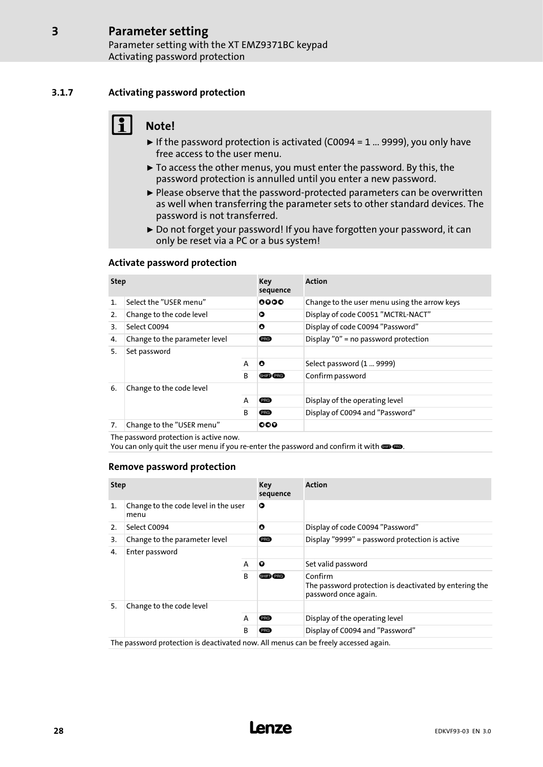### 3.1.7 Activating password protection

<span id="page-27-0"></span>[3](#page-19-0)

## Note!

- $\blacktriangleright$  If the password protection is activated (C0094 = 1 ... 9999), you only have free access to the user menu.
- $\triangleright$  To access the other menus, you must enter the password. By this, the password protection is annulled until you enter a new password.
- ► Please observe that the password-protected parameters can be overwritten as well when transferring the parameter sets to other standard devices. The password is not transferred.
- ▶ Do not forget your password! If you have forgotten your password, it can only be reset via a PC or a bus system!

### Activate password protection

| <b>Step</b>    |                               |              | Key<br>sequence | <b>Action</b>                                |
|----------------|-------------------------------|--------------|-----------------|----------------------------------------------|
| $\mathbf{1}$ . | Select the "USER menu"        |              | 0000            | Change to the user menu using the arrow keys |
| 2.             | Change to the code level      |              | ο               | Display of code C0051 "MCTRL-NACT"           |
| 3.             | Select C0094                  |              | O               | Display of code C0094 "Password"             |
| 4.             | Change to the parameter level |              | <b>ERG</b>      | Display "0" = no password protection         |
| 5.             | Set password                  |              |                 |                                              |
|                |                               | A            | $\bullet$       | Select password (1  9999)                    |
|                |                               | <sub>R</sub> | SHIFT (PRG)     | Confirm password                             |
| 6.             | Change to the code level      |              |                 |                                              |
|                |                               | A            | <b>PRG</b>      | Display of the operating level               |
|                |                               | B            | <b>PRG</b>      | Display of C0094 and "Password"              |
| 7.             | Change to the "USER menu"     |              | ೦೦೦             |                                              |

The password protection is active now.

You can only quit the user menu if you re-enter the password and confirm it with . **. .** 

### Remove password protection

| <b>Step</b>    |                                                                                     | Key<br>sequence | <b>Action</b> |                                                                                           |
|----------------|-------------------------------------------------------------------------------------|-----------------|---------------|-------------------------------------------------------------------------------------------|
| $\mathbf{1}$ . | Change to the code level in the user<br>menu                                        |                 | Ο             |                                                                                           |
| 2.             | Select C0094                                                                        |                 | O             | Display of code C0094 "Password"                                                          |
| 3.             | Change to the parameter level                                                       |                 | <b>ERG</b>    | Display "9999" = password protection is active                                            |
| 4.             | Enter password                                                                      |                 |               |                                                                                           |
|                |                                                                                     | A               | Q             | Set valid password                                                                        |
| B              |                                                                                     |                 | SHIFTY PRG    | Confirm<br>The password protection is deactivated by entering the<br>password once again. |
| 5.             | Change to the code level                                                            |                 |               |                                                                                           |
|                |                                                                                     | A               | <b>PRG</b>    | Display of the operating level                                                            |
|                | B                                                                                   |                 | <b>PRG</b>    | Display of C0094 and "Password"                                                           |
|                | The password protection is deactivated now. All menus can be freely accessed again. |                 |               |                                                                                           |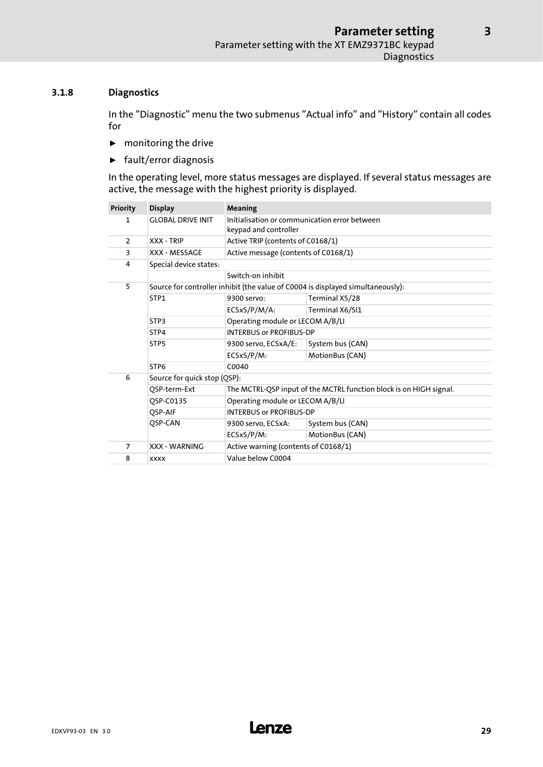### <span id="page-28-0"></span>3.1.8 Diagnostics

In the "Diagnostic" menu the two submenus "Actual info" and "History" contain all codes for

- $\blacktriangleright$  monitoring the drive
- $\blacktriangleright$  fault/error diagnosis

In the operating level, more status messages are displayed. If several status messages are active, the message with the highest priority is displayed.

| <b>Priority</b> | <b>Display</b>               | Meaning                                                                |                                                                                 |  |  |  |  |  |
|-----------------|------------------------------|------------------------------------------------------------------------|---------------------------------------------------------------------------------|--|--|--|--|--|
| 1               | <b>GLOBAL DRIVE INIT</b>     | Initialisation or communication error between<br>keypad and controller |                                                                                 |  |  |  |  |  |
| $\overline{2}$  | XXX - TRIP                   | Active TRIP (contents of C0168/1)                                      |                                                                                 |  |  |  |  |  |
| 3               | XXX - MESSAGE                | Active message (contents of C0168/1)                                   |                                                                                 |  |  |  |  |  |
| 4               | Special device states:       |                                                                        |                                                                                 |  |  |  |  |  |
|                 |                              | Switch-on inhibit                                                      |                                                                                 |  |  |  |  |  |
| 5               |                              |                                                                        | Source for controller inhibit (the value of C0004 is displayed simultaneously): |  |  |  |  |  |
|                 | STP1                         | 9300 servo:                                                            | Terminal X5/28                                                                  |  |  |  |  |  |
|                 |                              | ECSxS/P/M/A:                                                           | Terminal X6/SI1                                                                 |  |  |  |  |  |
|                 | STP3                         | Operating module or LECOM A/B/LI                                       |                                                                                 |  |  |  |  |  |
|                 | STP4                         | <b>INTERBUS or PROFIBUS-DP</b>                                         |                                                                                 |  |  |  |  |  |
|                 | STP <sub>5</sub>             | 9300 servo, ECSxA/E:                                                   | System bus (CAN)                                                                |  |  |  |  |  |
|                 |                              | ECSxS/P/M:                                                             | MotionBus (CAN)                                                                 |  |  |  |  |  |
|                 | STP <sub>6</sub>             | C0040                                                                  |                                                                                 |  |  |  |  |  |
| 6               | Source for quick stop (QSP): |                                                                        |                                                                                 |  |  |  |  |  |
|                 | QSP-term-Ext                 | The MCTRL-QSP input of the MCTRL function block is on HIGH signal.     |                                                                                 |  |  |  |  |  |
|                 | OSP-C0135                    | Operating module or LECOM A/B/LI                                       |                                                                                 |  |  |  |  |  |
|                 | OSP-AIF                      | <b>INTERBUS or PROFIBUS-DP</b>                                         |                                                                                 |  |  |  |  |  |
|                 | QSP-CAN                      | 9300 servo, ECSxA:                                                     | System bus (CAN)                                                                |  |  |  |  |  |
|                 |                              | ECSxS/P/M:                                                             | MotionBus (CAN)                                                                 |  |  |  |  |  |
| $\overline{7}$  | <b>XXX - WARNING</b>         | Active warning (contents of C0168/1)                                   |                                                                                 |  |  |  |  |  |
| 8               | <b>XXXX</b>                  | Value below C0004                                                      |                                                                                 |  |  |  |  |  |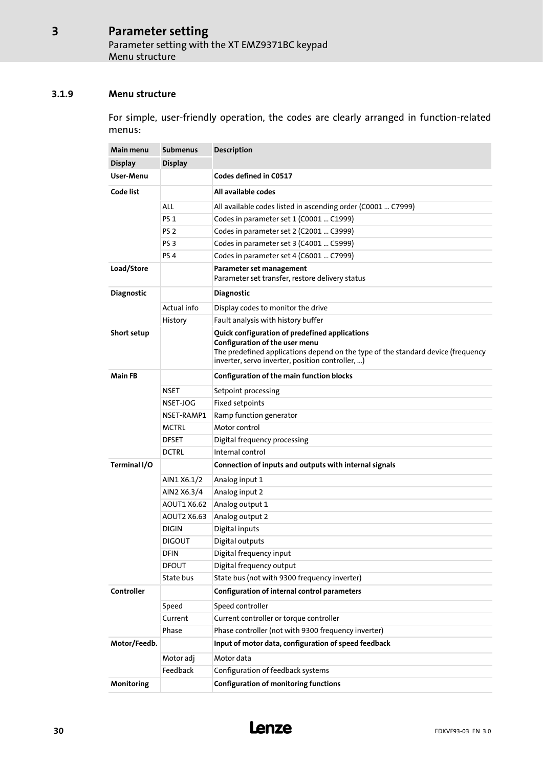### <span id="page-29-0"></span>3.1.9 Menu structure

For simple, user−friendly operation, the codes are clearly arranged in function−related menus:

| Main menu         | <b>Submenus</b> | Description                                                                                                                                                                                                              |  |  |  |  |
|-------------------|-----------------|--------------------------------------------------------------------------------------------------------------------------------------------------------------------------------------------------------------------------|--|--|--|--|
| <b>Display</b>    | <b>Display</b>  |                                                                                                                                                                                                                          |  |  |  |  |
| User-Menu         |                 | Codes defined in C0517                                                                                                                                                                                                   |  |  |  |  |
| Code list         |                 | All available codes                                                                                                                                                                                                      |  |  |  |  |
|                   | ALL             | All available codes listed in ascending order (C0001  C7999)                                                                                                                                                             |  |  |  |  |
|                   | <b>PS 1</b>     | Codes in parameter set 1 (C0001  C1999)                                                                                                                                                                                  |  |  |  |  |
|                   | PS <sub>2</sub> | Codes in parameter set 2 (C2001  C3999)                                                                                                                                                                                  |  |  |  |  |
|                   | PS <sub>3</sub> | Codes in parameter set 3 (C4001  C5999)                                                                                                                                                                                  |  |  |  |  |
|                   | PS <sub>4</sub> | Codes in parameter set 4 (C6001  C7999)                                                                                                                                                                                  |  |  |  |  |
| Load/Store        |                 | Parameter set management<br>Parameter set transfer, restore delivery status                                                                                                                                              |  |  |  |  |
| <b>Diagnostic</b> |                 | <b>Diagnostic</b>                                                                                                                                                                                                        |  |  |  |  |
|                   | Actual info     | Display codes to monitor the drive                                                                                                                                                                                       |  |  |  |  |
|                   | History         | Fault analysis with history buffer                                                                                                                                                                                       |  |  |  |  |
| Short setup       |                 | Quick configuration of predefined applications<br>Configuration of the user menu<br>The predefined applications depend on the type of the standard device (frequency<br>inverter, servo inverter, position controller, ) |  |  |  |  |
| <b>Main FB</b>    |                 | Configuration of the main function blocks                                                                                                                                                                                |  |  |  |  |
|                   | NSET            | Setpoint processing                                                                                                                                                                                                      |  |  |  |  |
|                   | NSET-JOG        | Fixed setpoints                                                                                                                                                                                                          |  |  |  |  |
|                   | NSET-RAMP1      | Ramp function generator                                                                                                                                                                                                  |  |  |  |  |
|                   | <b>MCTRL</b>    | Motor control                                                                                                                                                                                                            |  |  |  |  |
|                   | <b>DFSET</b>    | Digital frequency processing                                                                                                                                                                                             |  |  |  |  |
|                   | <b>DCTRL</b>    | Internal control                                                                                                                                                                                                         |  |  |  |  |
| Terminal I/O      |                 | Connection of inputs and outputs with internal signals                                                                                                                                                                   |  |  |  |  |
|                   | AIN1 X6.1/2     | Analog input 1                                                                                                                                                                                                           |  |  |  |  |
|                   | AIN2 X6.3/4     | Analog input 2                                                                                                                                                                                                           |  |  |  |  |
|                   | AOUT1 X6.62     | Analog output 1                                                                                                                                                                                                          |  |  |  |  |
|                   | AOUT2 X6.63     | Analog output 2                                                                                                                                                                                                          |  |  |  |  |
|                   | <b>DIGIN</b>    | Digital inputs                                                                                                                                                                                                           |  |  |  |  |
|                   | <b>DIGOUT</b>   | Digital outputs                                                                                                                                                                                                          |  |  |  |  |
|                   | <b>DFIN</b>     | Digital frequency input                                                                                                                                                                                                  |  |  |  |  |
|                   | <b>DFOUT</b>    | Digital frequency output                                                                                                                                                                                                 |  |  |  |  |
|                   | State bus       | State bus (not with 9300 frequency inverter)                                                                                                                                                                             |  |  |  |  |
| Controller        |                 | Configuration of internal control parameters                                                                                                                                                                             |  |  |  |  |
|                   | Speed           | Speed controller                                                                                                                                                                                                         |  |  |  |  |
|                   | Current         | Current controller or torque controller                                                                                                                                                                                  |  |  |  |  |
|                   | Phase           | Phase controller (not with 9300 frequency inverter)                                                                                                                                                                      |  |  |  |  |
| Motor/Feedb.      |                 | Input of motor data, configuration of speed feedback                                                                                                                                                                     |  |  |  |  |
|                   | Motor adj       | Motor data                                                                                                                                                                                                               |  |  |  |  |
|                   | Feedback        | Configuration of feedback systems                                                                                                                                                                                        |  |  |  |  |
| Monitoring        |                 | <b>Configuration of monitoring functions</b>                                                                                                                                                                             |  |  |  |  |

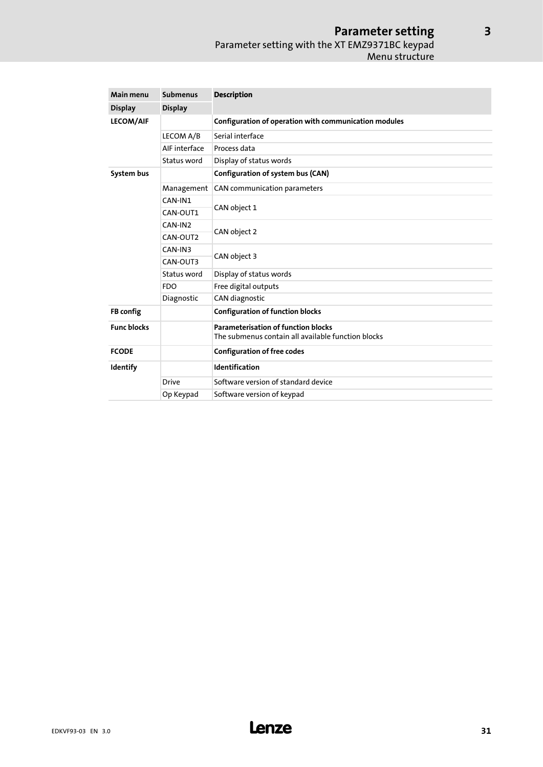### Parameter setting Parameter setting with the XT EMZ9371BC keypad Menu structure

| Main menu          | <b>Submenus</b> | <b>Description</b>                                                                               |  |  |  |  |  |
|--------------------|-----------------|--------------------------------------------------------------------------------------------------|--|--|--|--|--|
| <b>Display</b>     | <b>Display</b>  |                                                                                                  |  |  |  |  |  |
| <b>LECOM/AIF</b>   |                 | Configuration of operation with communication modules                                            |  |  |  |  |  |
|                    | LECOM A/B       | Serial interface                                                                                 |  |  |  |  |  |
|                    | AIF interface   | Process data                                                                                     |  |  |  |  |  |
|                    | Status word     | Display of status words                                                                          |  |  |  |  |  |
| System bus         |                 | Configuration of system bus (CAN)                                                                |  |  |  |  |  |
|                    | Management      | CAN communication parameters                                                                     |  |  |  |  |  |
|                    | CAN-IN1         |                                                                                                  |  |  |  |  |  |
|                    | CAN-OUT1        | CAN object 1                                                                                     |  |  |  |  |  |
|                    | CAN-IN2         |                                                                                                  |  |  |  |  |  |
|                    | CAN-OUT2        | CAN object 2                                                                                     |  |  |  |  |  |
|                    | CAN-IN3         |                                                                                                  |  |  |  |  |  |
|                    | CAN-OUT3        | CAN object 3                                                                                     |  |  |  |  |  |
|                    | Status word     | Display of status words                                                                          |  |  |  |  |  |
|                    | <b>FDO</b>      | Free digital outputs                                                                             |  |  |  |  |  |
|                    | Diagnostic      | CAN diagnostic                                                                                   |  |  |  |  |  |
| FB config          |                 | <b>Configuration of function blocks</b>                                                          |  |  |  |  |  |
| <b>Func blocks</b> |                 | <b>Parameterisation of function blocks</b><br>The submenus contain all available function blocks |  |  |  |  |  |
| <b>FCODE</b>       |                 | <b>Configuration of free codes</b>                                                               |  |  |  |  |  |
| Identify           |                 | Identification                                                                                   |  |  |  |  |  |
|                    | <b>Drive</b>    | Software version of standard device                                                              |  |  |  |  |  |
|                    | Op Keypad       | Software version of keypad                                                                       |  |  |  |  |  |

EDKVF93−03 EN 3.0 **Lenze** 

[3](#page-19-0)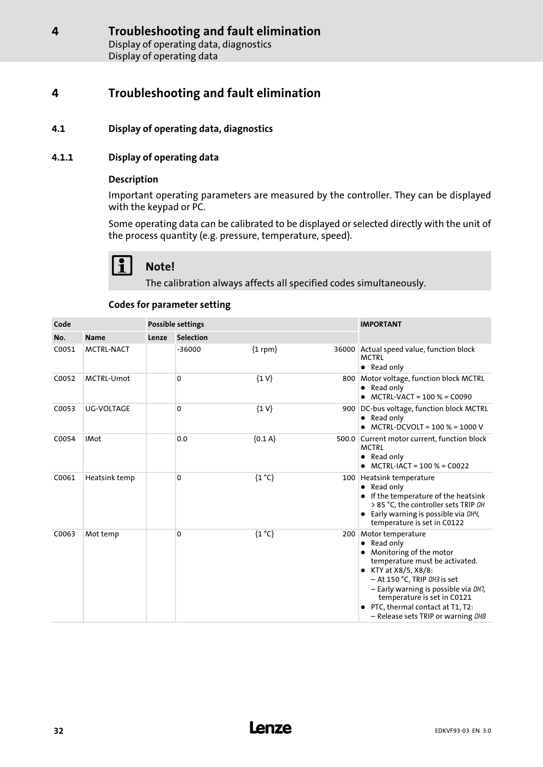### <span id="page-31-0"></span>4.1 Display of operating data, diagnostics

### 4.1.1 Display of operating data

### Description

Important operating parameters are measured by the controller. They can be displayed with the keypad or PC.

Some operating data can be calibrated to be displayed or selected directly with the unit of the process quantity (e.g. pressure, temperature, speed).

# Note!

The calibration always affects all specified codes simultaneously.

### Codes for parameter setting

| Code  |                   | <b>Possible settings</b> |                  |                |  | <b>IMPORTANT</b>                                                                                                                                                                                                                                                                                                       |
|-------|-------------------|--------------------------|------------------|----------------|--|------------------------------------------------------------------------------------------------------------------------------------------------------------------------------------------------------------------------------------------------------------------------------------------------------------------------|
| No.   | <b>Name</b>       | Lenze                    | <b>Selection</b> |                |  |                                                                                                                                                                                                                                                                                                                        |
| C0051 | <b>MCTRL-NACT</b> |                          | $-36000$         | ${1$ rpm $}$   |  | 36000 Actual speed value, function block<br><b>MCTRI</b><br>• Read only                                                                                                                                                                                                                                                |
| C0052 | <b>MCTRL-Umot</b> |                          | 0                | $\{1 V\}$      |  | 800 Motor voltage, function block MCTRL<br>• Read only<br>MCTRL-VACT = 100 % = C0090                                                                                                                                                                                                                                   |
| C0053 | <b>UG-VOLTAGE</b> |                          | 0                | $\{1 V\}$      |  | 900 DC-bus voltage, function block MCTRL<br>• Read only<br>MCTRL-DCVOLT = 100 % = 1000 V                                                                                                                                                                                                                               |
| C0054 | <b>IMot</b>       |                          | 0.0              | ${0.1 A}$      |  | 500.0 Current motor current, function block<br><b>MCTRL</b><br>Read only<br>$\bullet$<br>$MCTRL-IACT = 100 % = CO022$                                                                                                                                                                                                  |
| C0061 | Heatsink temp     |                          | 0                | ${1^{\circ}C}$ |  | 100 Heatsink temperature<br>$\bullet$ Read only<br>If the temperature of the heatsink<br>> 85 °C, the controller sets TRIP OH<br>Early warning is possible via DH4,<br>temperature is set in C0122                                                                                                                     |
| C0063 | Mot temp          |                          | 0                | ${1^{\circ}C}$ |  | 200 Motor temperature<br>Read only<br>٠<br>Monitoring of the motor<br>temperature must be activated.<br>KTY at X8/5, X8/8:<br>٠<br>- At 150 °C, TRIP 0H3 is set<br>- Early warning is possible via DH7,<br>temperature is set in C0121<br>PTC, thermal contact at T1, T2:<br>- Release sets TRIP or warning <i>0H8</i> |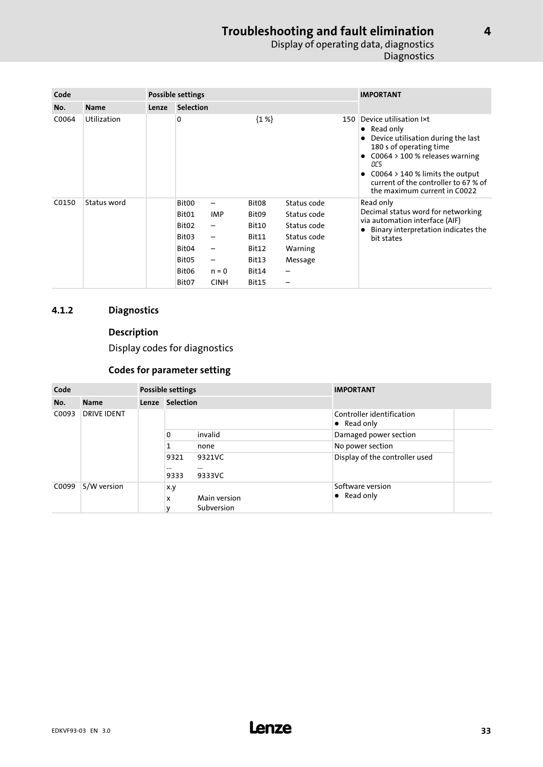### Troubleshooting and fault elimination Display of operating data, diagnostics **Diagnostics**

<span id="page-32-0"></span>

| Code  |                    | <b>Possible settings</b> |                                                                                                                      |                                                                             |                                                                                                     |                                                                                     |     | <b>IMPORTANT</b>                                                                                                                                                                                                                                                       |
|-------|--------------------|--------------------------|----------------------------------------------------------------------------------------------------------------------|-----------------------------------------------------------------------------|-----------------------------------------------------------------------------------------------------|-------------------------------------------------------------------------------------|-----|------------------------------------------------------------------------------------------------------------------------------------------------------------------------------------------------------------------------------------------------------------------------|
| No.   | <b>Name</b>        | Lenze                    | <b>Selection</b>                                                                                                     |                                                                             |                                                                                                     |                                                                                     |     |                                                                                                                                                                                                                                                                        |
| C0064 | <b>Utilization</b> |                          | 0                                                                                                                    |                                                                             | ${1\%}$                                                                                             |                                                                                     | 150 | Device utilisation Ixt<br>$\bullet$ Read only<br>Device utilisation during the last<br>180 s of operating time<br>$C0064 > 100$ % releases warning<br>OC5<br>$C0064 > 140$ % limits the output<br>current of the controller to 67 % of<br>the maximum current in C0022 |
| C0150 | Status word        |                          | Bit00<br>Bit01<br>Bit <sub>02</sub><br>Bit03<br>Bit <sub>04</sub><br>Bit <sub>05</sub><br>Bit <sub>06</sub><br>Bit07 | —<br><b>IMP</b><br>-<br>-<br>-<br>$\qquad \qquad$<br>$n = 0$<br><b>CINH</b> | Bit <sub>08</sub><br>Bit <sub>09</sub><br>Bit10<br>Bit11<br>Bit12<br>Bit13<br>Bit14<br><b>Bit15</b> | Status code<br>Status code<br>Status code<br>Status code<br>Warning<br>Message<br>- |     | Read only<br>Decimal status word for networking<br>via automation interface (AIF)<br>Binary interpretation indicates the<br>bit states                                                                                                                                 |

### 4.1.2 Diagnostics

### Description

Display codes for diagnostics

### Codes for parameter setting

| Code                        |             | <b>Possible settings</b> |                 |                              | <b>IMPORTANT</b>                                 |
|-----------------------------|-------------|--------------------------|-----------------|------------------------------|--------------------------------------------------|
| No.                         | <b>Name</b> |                          | Lenze Selection |                              |                                                  |
| <b>DRIVE IDENT</b><br>C0093 |             |                          |                 |                              | Controller identification<br>$\bullet$ Read only |
|                             |             | 0<br>1<br>$\cdots$       |                 | invalid                      | Damaged power section                            |
|                             |             |                          |                 | none                         | No power section                                 |
|                             |             |                          | 9321<br>9333    | 9321VC<br>$\cdots$<br>9333VC | Display of the controller used                   |
| C0099                       | S/W version |                          | x.y<br>x<br>v   | Main version<br>Subversion   | Software version<br>$\bullet$ Read only          |

[4](#page-31-0)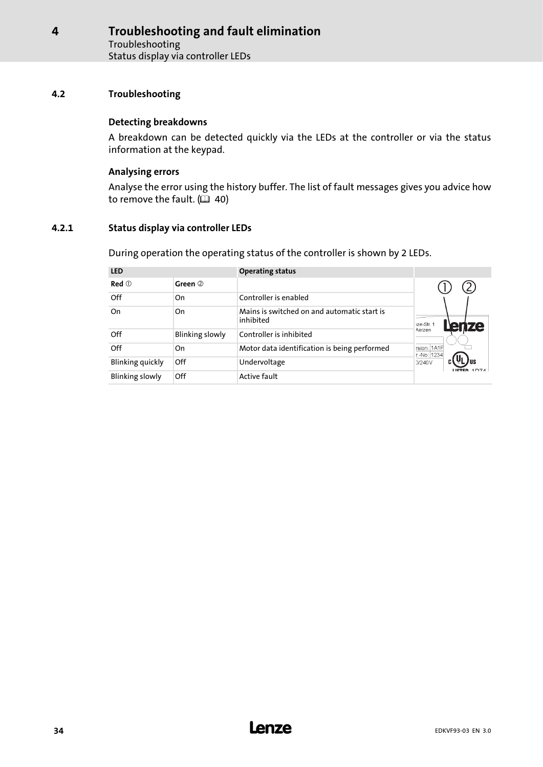### <span id="page-33-0"></span>4.2 Troubleshooting

### Detecting breakdowns

A breakdown can be detected quickly via the LEDs at the controller or via the status information at the keypad.

### Analysing errors

Analyse the error using the history buffer. The list of fault messages gives you advice how to remove the fault.  $( 40 40)$  $( 40 40)$ 

### 4.2.1 Status display via controller LEDs

During operation the operating status of the controller is shown by 2 LEDs.

| <b>LED</b>             |                        | <b>Operating status</b>                                  |                            |
|------------------------|------------------------|----------------------------------------------------------|----------------------------|
| $Red$ $@$              | Green 2                |                                                          |                            |
| Off                    | On                     | Controller is enabled                                    |                            |
| On                     | On                     | Mains is switched on and automatic start is<br>inhibited | 1ze-Str. 1<br>ЮI           |
| Off                    | <b>Blinking slowly</b> | Controller is inhibited                                  | Aerzen                     |
| Off                    | On                     | Motor data identification is being performed             | rsion: 1A1F<br>r.-No: 1234 |
| Blinking quickly       | Off                    | Undervoltage                                             | 0/240V                     |
| <b>Blinking slowly</b> | Off                    | <b>Active fault</b>                                      |                            |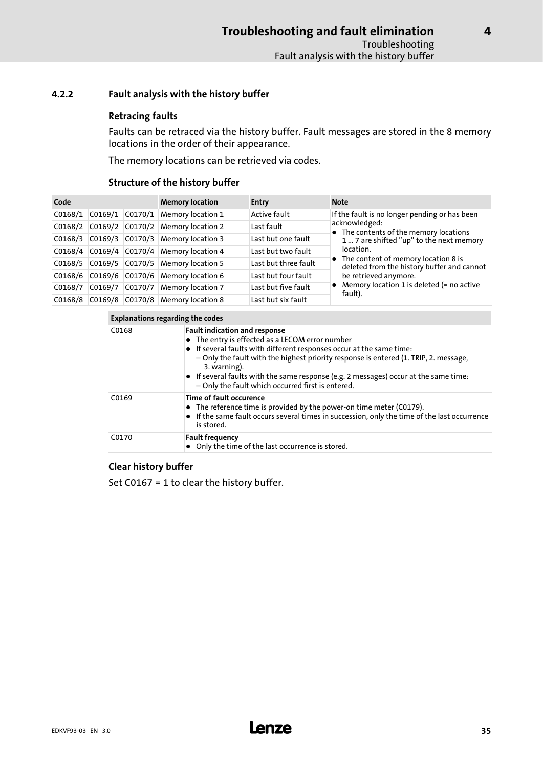### <span id="page-34-0"></span>4.2.2 Fault analysis with the history buffer

### Retracing faults

Faults can be retraced via the history buffer. Fault messages are stored in the 8 memory locations in the order of their appearance.

The memory locations can be retrieved via codes.

### Structure of the history buffer

| Code    |                     | <b>Memory location</b> | <b>Entry</b>                      | <b>Note</b>          |                                                                                     |
|---------|---------------------|------------------------|-----------------------------------|----------------------|-------------------------------------------------------------------------------------|
| CO168/1 | $CO169/1$ $CO170/1$ |                        | <b>Memory location 1</b>          | Active fault         | If the fault is no longer pending or has been                                       |
| CO168/2 |                     |                        | C0169/2 C0170/2 Memory location 2 | Last fault           | acknowledged:<br>• The contents of the memory locations                             |
| CO168/3 |                     |                        | C0169/3 C0170/3 Memory location 3 | Last but one fault   | 1  7 are shifted "up" to the next memory                                            |
| C0168/4 |                     |                        | C0169/4 C0170/4 Memory location 4 | Last but two fault   | location.                                                                           |
| CO168/5 |                     |                        | C0169/5 C0170/5 Memory location 5 | Last but three fault | • The content of memory location 8 is<br>deleted from the history buffer and cannot |
| CO168/6 |                     |                        | C0169/6 C0170/6 Memory location 6 | Last but four fault  | be retrieved anymore.                                                               |
| C0168/7 | CO169/7             |                        | C0170/7 Memory location 7         | Last but five fault  | • Memory location 1 is deleted $(=$ no active<br>fault).                            |
| CO168/8 |                     |                        | C0169/8 C0170/8 Memory location 8 | Last but six fault   |                                                                                     |

| Explanations regarding the codes |  |  |
|----------------------------------|--|--|
|                                  |  |  |

| C0168 | <b>Fault indication and response</b><br>• The entry is effected as a LECOM error number<br>• If several faults with different responses occur at the same time:<br>- Only the fault with the highest priority response is entered (1. TRIP, 2. message,<br>3. warning).<br>• If several faults with the same response (e.g. 2 messages) occur at the same time:<br>- Only the fault which occurred first is entered. |
|-------|----------------------------------------------------------------------------------------------------------------------------------------------------------------------------------------------------------------------------------------------------------------------------------------------------------------------------------------------------------------------------------------------------------------------|
| C0169 | Time of fault occurence<br>• The reference time is provided by the power-on time meter (C0179).<br>• If the same fault occurs several times in succession, only the time of the last occurrence<br>is stored.                                                                                                                                                                                                        |
| C0170 | <b>Fault frequency</b><br>• Only the time of the last occurrence is stored.                                                                                                                                                                                                                                                                                                                                          |

### Clear history buffer

Set C0167 = 1 to clear the history buffer.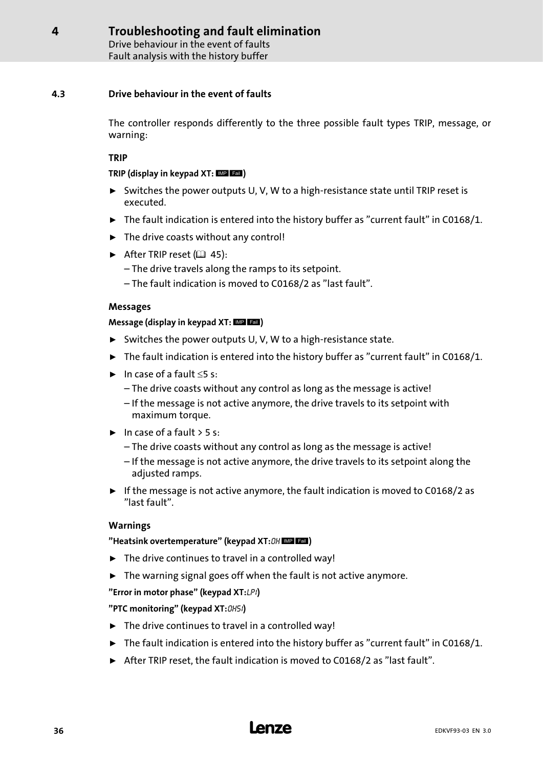Drive behaviour in the event of faults Fault analysis with the history buffer

### <span id="page-35-0"></span>4.3 Drive behaviour in the event of faults

The controller responds differently to the three possible fault types TRIP, message, or warning:

### TRIP

### TRIP (display in keypad  $XT:$   $MP$   $EBI$ )

- ƒ Switches the power outputs U, V, W to a high−resistance state until TRIP reset is executed.
- $\triangleright$  The fault indication is entered into the history buffer as "current fault" in C0168/1.
- $\blacktriangleright$  The drive coasts without any control!
- After TRIP reset  $(41 45)$  $(41 45)$  $(41 45)$ :
	- The drive travels along the ramps to its setpoint.
	- The fault indication is moved to C0168/2 as "last fault".

### Messages

### Message (display in keypad  $XT:$   $MP$   $Fall$ )

- ► Switches the power outputs U, V, W to a high-resistance state.
- $\blacktriangleright$  The fault indication is entered into the history buffer as "current fault" in C0168/1.
- $\blacktriangleright$  In case of a fault  $\leq$ 5 s:
	- The drive coasts without any control as long as the message is active!
	- If the message is not active anymore, the drive travels to its setpoint with maximum torque.
- $\blacktriangleright$  In case of a fault  $>$  5 s:
	- The drive coasts without any control as long as the message is active!
	- If the message is not active anymore, the drive travels to its setpoint along the adjusted ramps.
- $\triangleright$  If the message is not active anymore, the fault indication is moved to C0168/2 as "last fault".

### Warnings

### "Heatsink overtemperature" (keypad XT: OH MP Lall)

- $\blacktriangleright$  The drive continues to travel in a controlled way!
- $\blacktriangleright$  The warning signal goes off when the fault is not active anymore.

### "Error in motor phase" (keypad XT:LP1)

### "PTC monitoring" (keypad XT: OH51)

- $\blacktriangleright$  The drive continues to travel in a controlled way!
- $\triangleright$  The fault indication is entered into the history buffer as "current fault" in C0168/1.
- ▶ After TRIP reset, the fault indication is moved to C0168/2 as "last fault".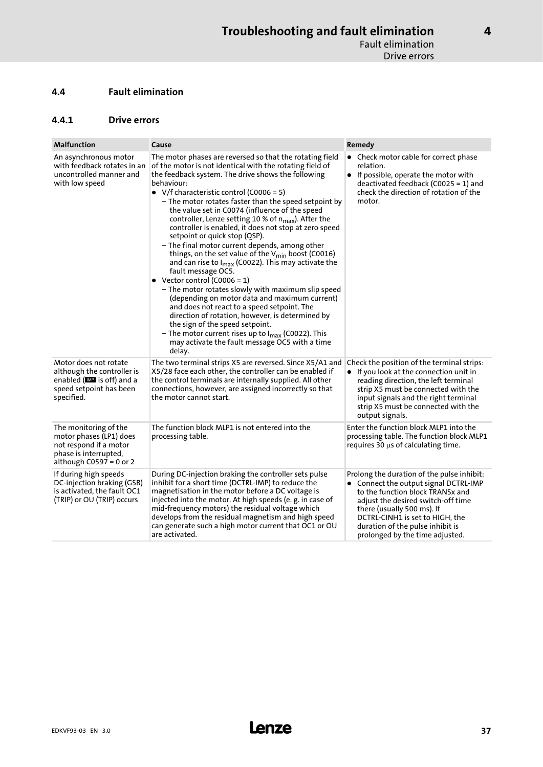### <span id="page-36-0"></span>4.4 Fault elimination

### 4.4.1 Drive errors

| <b>Malfunction</b>                                                                                                               | Cause                                                                                                                                                                                                                                                                                                                                                                                                                                                                                                                                                                                                                                                                                                                                                                                                                                                                                                                                                                                                                                                                                                                         | Remedy                                                                                                                                                                                                                                                                                                |
|----------------------------------------------------------------------------------------------------------------------------------|-------------------------------------------------------------------------------------------------------------------------------------------------------------------------------------------------------------------------------------------------------------------------------------------------------------------------------------------------------------------------------------------------------------------------------------------------------------------------------------------------------------------------------------------------------------------------------------------------------------------------------------------------------------------------------------------------------------------------------------------------------------------------------------------------------------------------------------------------------------------------------------------------------------------------------------------------------------------------------------------------------------------------------------------------------------------------------------------------------------------------------|-------------------------------------------------------------------------------------------------------------------------------------------------------------------------------------------------------------------------------------------------------------------------------------------------------|
| An asynchronous motor<br>with feedback rotates in an<br>uncontrolled manner and<br>with low speed                                | The motor phases are reversed so that the rotating field<br>of the motor is not identical with the rotating field of<br>the feedback system. The drive shows the following<br>behaviour:<br>• V/f characteristic control (C0006 = 5)<br>- The motor rotates faster than the speed setpoint by<br>the value set in C0074 (influence of the speed<br>controller, Lenze setting 10 % of n <sub>max</sub> ). After the<br>controller is enabled, it does not stop at zero speed<br>setpoint or quick stop (QSP).<br>- The final motor current depends, among other<br>things, on the set value of the V <sub>min</sub> boost (C0016)<br>and can rise to $I_{max}$ (C0022). This may activate the<br>fault message OC5.<br>• Vector control (C0006 = 1)<br>- The motor rotates slowly with maximum slip speed<br>(depending on motor data and maximum current)<br>and does not react to a speed setpoint. The<br>direction of rotation, however, is determined by<br>the sign of the speed setpoint.<br>- The motor current rises up to I <sub>max</sub> (C0022). This<br>may activate the fault message OC5 with a time<br>delay. | • Check motor cable for correct phase<br>relation.<br>• If possible, operate the motor with<br>deactivated feedback (C0025 = 1) and<br>check the direction of rotation of the<br>motor.                                                                                                               |
| Motor does not rotate<br>although the controller is<br>enabled (IIII is off) and a<br>speed setpoint has been<br>specified.      | The two terminal strips X5 are reversed. Since X5/A1 and<br>X5/28 face each other, the controller can be enabled if<br>the control terminals are internally supplied. All other<br>connections, however, are assigned incorrectly so that<br>the motor cannot start.                                                                                                                                                                                                                                                                                                                                                                                                                                                                                                                                                                                                                                                                                                                                                                                                                                                          | Check the position of the terminal strips:<br>• If you look at the connection unit in<br>reading direction, the left terminal<br>strip X5 must be connected with the<br>input signals and the right terminal<br>strip X5 must be connected with the<br>output signals.                                |
| The monitoring of the<br>motor phases (LP1) does<br>not respond if a motor<br>phase is interrupted,<br>although $C0597 = 0$ or 2 | The function block MLP1 is not entered into the<br>processing table.                                                                                                                                                                                                                                                                                                                                                                                                                                                                                                                                                                                                                                                                                                                                                                                                                                                                                                                                                                                                                                                          | Enter the function block MLP1 into the<br>processing table. The function block MLP1<br>requires $30 \mu s$ of calculating time.                                                                                                                                                                       |
| If during high speeds<br>DC-injection braking (GSB)<br>is activated, the fault OC1<br>(TRIP) or OU (TRIP) occurs                 | During DC-injection braking the controller sets pulse<br>inhibit for a short time (DCTRL-IMP) to reduce the<br>magnetisation in the motor before a DC voltage is<br>injected into the motor. At high speeds (e.g. in case of<br>mid-frequency motors) the residual voltage which<br>develops from the residual magnetism and high speed<br>can generate such a high motor current that OC1 or OU<br>are activated.                                                                                                                                                                                                                                                                                                                                                                                                                                                                                                                                                                                                                                                                                                            | Prolong the duration of the pulse inhibit:<br>• Connect the output signal DCTRL-IMP<br>to the function block TRANSx and<br>adjust the desired switch-off time<br>there (usually 500 ms). If<br>DCTRL-CINH1 is set to HIGH, the<br>duration of the pulse inhibit is<br>prolonged by the time adjusted. |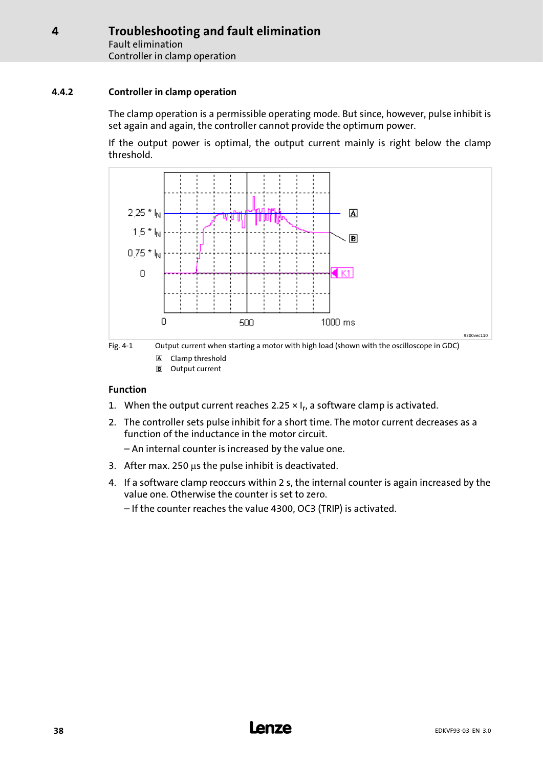### <span id="page-37-0"></span>4.4.2 Controller in clamp operation

The clamp operation is a permissible operating mode. But since, however, pulse inhibit is set again and again, the controller cannot provide the optimum power.

If the output power is optimal, the output current mainly is right below the clamp threshold.





Output current

### Function

- 1. When the output current reaches 2.25  $\times$  I<sub>r</sub>, a software clamp is activated.
- 2. The controller sets pulse inhibit for a short time. The motor current decreases as a function of the inductance in the motor circuit.
	- An internal counter is increased by the value one.
- 3. After max. 250  $\mu$ s the pulse inhibit is deactivated.
- 4. If a software clamp reoccurs within 2 s, the internal counter is again increased by the value one. Otherwise the counter is set to zero.
	- If the counter reaches the value 4300, OC3 (TRIP) is activated.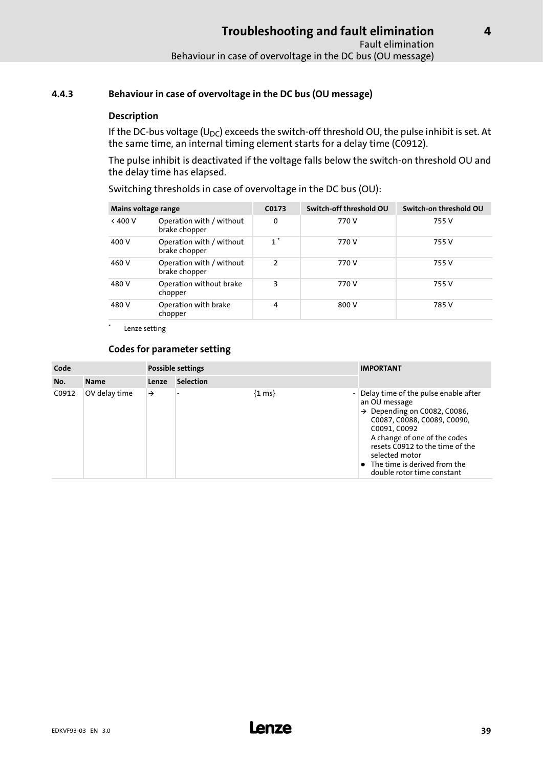### <span id="page-38-0"></span>4.4.3 Behaviour in case of overvoltage in the DC bus (OU message)

### Description

If the DC-bus voltage (U<sub>DC</sub>) exceeds the switch-off threshold OU, the pulse inhibit is set. At the same time, an internal timing element starts for a delay time (C0912).

The pulse inhibit is deactivated if the voltage falls below the switch−on threshold OU and the delay time has elapsed.

Switching thresholds in case of overvoltage in the DC bus (OU):

| Mains voltage range |                                           | C0173         | Switch-off threshold OU | Switch-on threshold OU |
|---------------------|-------------------------------------------|---------------|-------------------------|------------------------|
| < 400 V             | Operation with / without<br>brake chopper | 0             | 770 V                   | 755 V                  |
| 400 V               | Operation with / without<br>brake chopper | $1^*$         | 770 V                   | 755 V                  |
| 460 V               | Operation with / without<br>brake chopper | $\mathcal{P}$ | 770 V                   | 755 V                  |
| 480 V               | Operation without brake<br>chopper        | 3             | 770 V                   | 755 V                  |
| 480 V               | Operation with brake<br>chopper           | 4             | 800 V                   | 785 V                  |

Lenze setting

### Codes for parameter setting

| Code  |               | Possible settings |                  |                     | <b>IMPORTANT</b>                                                                                                                                                                                                                                                                                              |
|-------|---------------|-------------------|------------------|---------------------|---------------------------------------------------------------------------------------------------------------------------------------------------------------------------------------------------------------------------------------------------------------------------------------------------------------|
| No.   | <b>Name</b>   | Lenze             | <b>Selection</b> |                     |                                                                                                                                                                                                                                                                                                               |
| C0912 | OV delay time | $\rightarrow$     |                  | $\{1 \text{ ms}\}\$ | Delay time of the pulse enable after<br>an OU message<br>$\rightarrow$ Depending on C0082, C0086,<br>C0087, C0088, C0089, C0090,<br>C0091, C0092<br>A change of one of the codes<br>resets C0912 to the time of the<br>selected motor<br>$\bullet$ The time is derived from the<br>double rotor time constant |

[4](#page-31-0)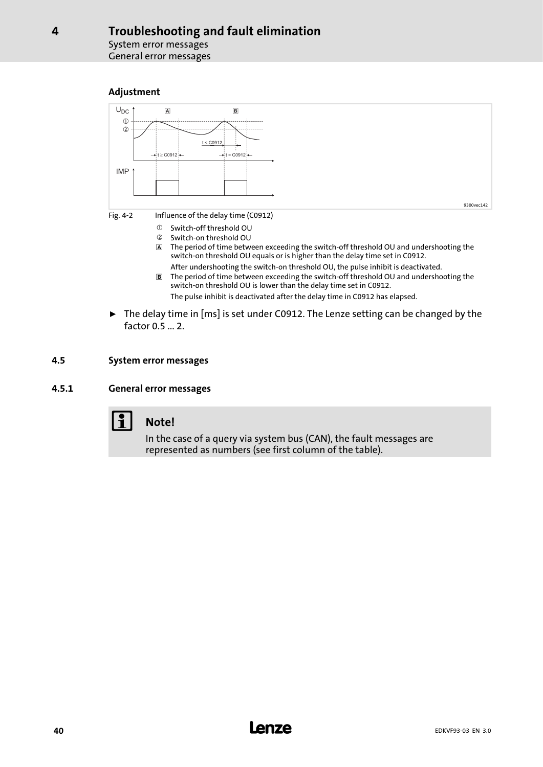System error messages General error messages

### Adjustment

<span id="page-39-0"></span>[4](#page-31-0)



- The period of time between exceeding the switch−off threshold OU and undershooting the switch−on threshold OU equals or is higher than the delay time set in C0912.
- After undershooting the switch−on threshold OU, the pulse inhibit is deactivated. The period of time between exceeding the switch−off threshold OU and undershooting the switch−on threshold OU is lower than the delay time set in C0912. The pulse inhibit is deactivated after the delay time in C0912 has elapsed.
- ► The delay time in [ms] is set under C0912. The Lenze setting can be changed by the factor 0.5 ... 2.

### 4.5 System error messages

### 4.5.1 General error messages



## Note!

In the case of a query via system bus (CAN), the fault messages are represented as numbers (see first column of the table).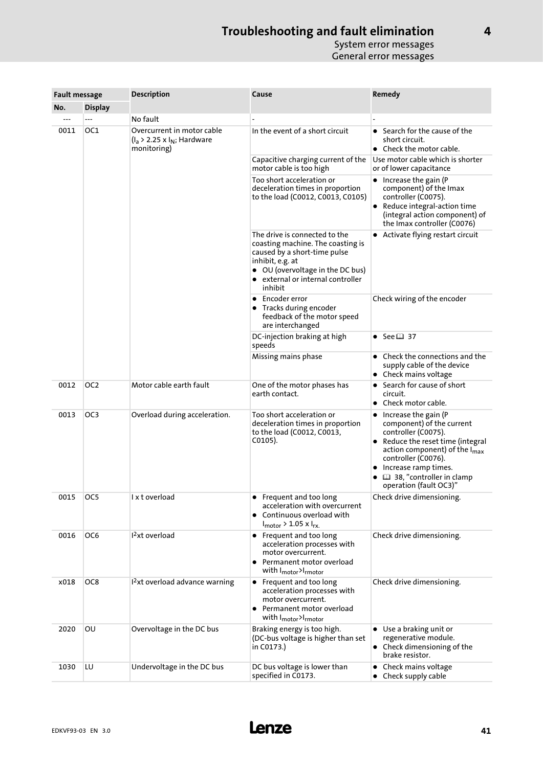| <b>Fault message</b> |                 | <b>Description</b>                                                              | Cause                                                                                                                                                                                                      | Remedy                                                                                                                                                                                                                                                                                       |  |
|----------------------|-----------------|---------------------------------------------------------------------------------|------------------------------------------------------------------------------------------------------------------------------------------------------------------------------------------------------------|----------------------------------------------------------------------------------------------------------------------------------------------------------------------------------------------------------------------------------------------------------------------------------------------|--|
| No.                  | <b>Display</b>  |                                                                                 |                                                                                                                                                                                                            |                                                                                                                                                                                                                                                                                              |  |
|                      |                 | No fault                                                                        |                                                                                                                                                                                                            |                                                                                                                                                                                                                                                                                              |  |
| 0011                 | OC1             | Overcurrent in motor cable<br>$(I_a > 2.25 \times I_N;$ Hardware<br>monitoring) | In the event of a short circuit                                                                                                                                                                            | Search for the cause of the<br>$\bullet$<br>short circuit.<br>• Check the motor cable.                                                                                                                                                                                                       |  |
|                      |                 |                                                                                 | Capacitive charging current of the<br>motor cable is too high                                                                                                                                              | Use motor cable which is shorter<br>or of lower capacitance                                                                                                                                                                                                                                  |  |
|                      |                 |                                                                                 | Too short acceleration or<br>deceleration times in proportion<br>to the load (C0012, C0013, C0105)                                                                                                         | • Increase the gain (P<br>component) of the Imax<br>controller (C0075).<br>Reduce integral-action time<br>(integral action component) of<br>the Imax controller (C0076)                                                                                                                      |  |
|                      |                 |                                                                                 | The drive is connected to the<br>coasting machine. The coasting is<br>caused by a short-time pulse<br>inhibit, e.g. at<br>• OU (overvoltage in the DC bus)<br>• external or internal controller<br>inhibit | • Activate flying restart circuit                                                                                                                                                                                                                                                            |  |
|                      |                 |                                                                                 | • Encoder error<br>• Tracks during encoder<br>feedback of the motor speed<br>are interchanged                                                                                                              | Check wiring of the encoder                                                                                                                                                                                                                                                                  |  |
|                      |                 |                                                                                 | DC-injection braking at high<br>speeds                                                                                                                                                                     | • See $\Box$ 37                                                                                                                                                                                                                                                                              |  |
|                      |                 |                                                                                 | Missing mains phase                                                                                                                                                                                        | Check the connections and the<br>supply cable of the device<br>• Check mains voltage                                                                                                                                                                                                         |  |
| 0012                 | OC <sub>2</sub> | Motor cable earth fault                                                         | One of the motor phases has<br>earth contact.                                                                                                                                                              | • Search for cause of short<br>circuit.<br>Check motor cable.<br>$\bullet$                                                                                                                                                                                                                   |  |
| 0013                 | OC <sub>3</sub> | Overload during acceleration.                                                   | Too short acceleration or<br>deceleration times in proportion<br>to the load (C0012, C0013,<br>$CO105$ ).                                                                                                  | Increase the gain (P<br>$\bullet$<br>component) of the current<br>controller (C0075).<br>Reduce the reset time (integral<br>$\bullet$<br>action component) of the $I_{\text{max}}$<br>controller (C0076).<br>Increase ramp times.<br>٠<br>38, "controller in clamp<br>operation (fault OC3)" |  |
| 0015                 | OC5             | l x t overload                                                                  | • Frequent and too long<br>acceleration with overcurrent<br>• Continuous overload with<br>$I_{\text{motor}}$ > 1.05 x $I_{\text{rx}}$                                                                      | Check drive dimensioning.                                                                                                                                                                                                                                                                    |  |
| 0016                 | OC6             | 1 <sup>2</sup> xt overload                                                      | • Frequent and too long<br>acceleration processes with<br>motor overcurrent.<br>Permanent motor overload<br>with I <sub>motor</sub> >I <sub>rmotor</sub>                                                   | Check drive dimensioning.                                                                                                                                                                                                                                                                    |  |
| x018                 | OC8             | $12xt overload advance warning$                                                 | • Frequent and too long<br>acceleration processes with<br>motor overcurrent.<br>• Permanent motor overload<br>with I <sub>motor</sub> >I <sub>rmotor</sub>                                                 | Check drive dimensioning.                                                                                                                                                                                                                                                                    |  |
| 2020                 | OU              | Overvoltage in the DC bus                                                       | Braking energy is too high.<br>(DC-bus voltage is higher than set<br>in C0173.)                                                                                                                            | • Use a braking unit or<br>regenerative module.<br>• Check dimensioning of the<br>brake resistor.                                                                                                                                                                                            |  |
| 1030                 | LU              | Undervoltage in the DC bus                                                      | DC bus voltage is lower than<br>specified in C0173.                                                                                                                                                        | Check mains voltage<br>$\bullet$<br>• Check supply cable                                                                                                                                                                                                                                     |  |

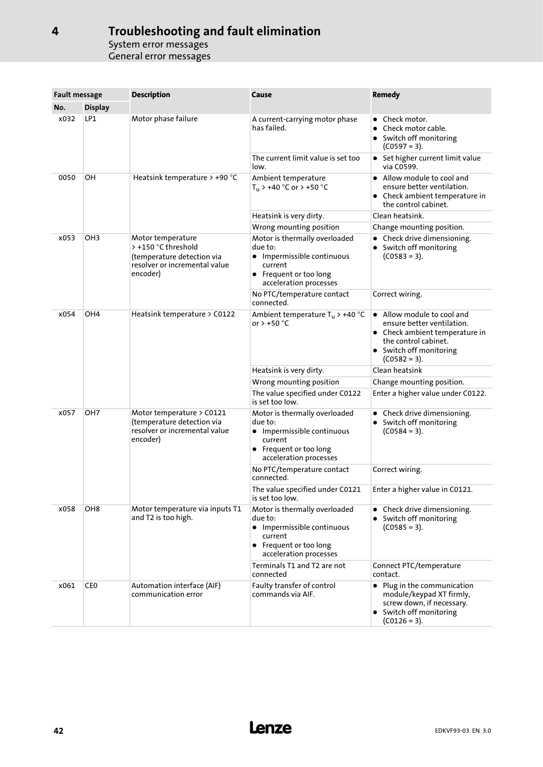| <b>Fault message</b> |                 | <b>Description</b>                                                                                                  | Cause                                                                                                                                 | <b>Remedy</b>                                                                                                                                                   |  |
|----------------------|-----------------|---------------------------------------------------------------------------------------------------------------------|---------------------------------------------------------------------------------------------------------------------------------------|-----------------------------------------------------------------------------------------------------------------------------------------------------------------|--|
| No.                  | <b>Display</b>  |                                                                                                                     |                                                                                                                                       |                                                                                                                                                                 |  |
| x032<br>LP1          |                 | Motor phase failure                                                                                                 | A current-carrying motor phase<br>has failed.                                                                                         | Check motor.<br>$\bullet$<br>Check motor cable.<br>• Switch off monitoring<br>$(C0597 = 3).$                                                                    |  |
|                      |                 |                                                                                                                     | The current limit value is set too<br>low.                                                                                            | • Set higher current limit value<br>via C0599.                                                                                                                  |  |
| 0050                 | OH              | Heatsink temperature > +90 °C                                                                                       | Ambient temperature<br>$T_u$ > +40 °C or > +50 °C                                                                                     | • Allow module to cool and<br>ensure better ventilation.<br>• Check ambient temperature in<br>the control cabinet.                                              |  |
|                      |                 |                                                                                                                     | Heatsink is very dirty.                                                                                                               | Clean heatsink.                                                                                                                                                 |  |
|                      |                 |                                                                                                                     | Wrong mounting position                                                                                                               | Change mounting position.                                                                                                                                       |  |
| x053                 | OH <sub>3</sub> | Motor temperature<br>> +150 °C threshold<br>(temperature detection via<br>resolver or incremental value<br>encoder) | Motor is thermally overloaded<br>due to:<br>• Impermissible continuous<br>current<br>• Frequent or too long<br>acceleration processes | • Check drive dimensioning.<br>• Switch off monitoring<br>$(C0583 = 3).$                                                                                        |  |
|                      |                 |                                                                                                                     | No PTC/temperature contact<br>connected.                                                                                              | Correct wiring.                                                                                                                                                 |  |
| x054                 | OH <sub>4</sub> | Heatsink temperature > C0122                                                                                        | Ambient temperature $T_u$ > +40 °C<br>or $> +50$ °C                                                                                   | • Allow module to cool and<br>ensure better ventilation.<br>• Check ambient temperature in<br>the control cabinet.<br>• Switch off monitoring<br>$(C0582 = 3).$ |  |
|                      |                 |                                                                                                                     | Heatsink is very dirty.                                                                                                               | Clean heatsink                                                                                                                                                  |  |
|                      |                 |                                                                                                                     | Wrong mounting position                                                                                                               | Change mounting position.                                                                                                                                       |  |
|                      |                 |                                                                                                                     | The value specified under C0122<br>is set too low.                                                                                    | Enter a higher value under C0122.                                                                                                                               |  |
| x057                 | OH <sub>7</sub> | Motor temperature > C0121<br>(temperature detection via<br>resolver or incremental value<br>encoder)                | Motor is thermally overloaded<br>due to:<br>• Impermissible continuous<br>current<br>• Frequent or too long<br>acceleration processes | • Check drive dimensioning.<br>• Switch off monitoring<br>$(C0584 = 3).$                                                                                        |  |
|                      |                 |                                                                                                                     | No PTC/temperature contact<br>connected.                                                                                              | Correct wiring.                                                                                                                                                 |  |
|                      |                 |                                                                                                                     | The value specified under C0121<br>is set too low.                                                                                    | Enter a higher value in C0121.                                                                                                                                  |  |
| x058                 | OH <sub>8</sub> | Motor temperature via inputs T1<br>and T2 is too high.                                                              | Motor is thermally overloaded<br>due to:<br>• Impermissible continuous<br>current<br>• Frequent or too long<br>acceleration processes | • Check drive dimensioning.<br>• Switch off monitoring<br>$(C0585 = 3).$                                                                                        |  |
|                      |                 |                                                                                                                     | Terminals T1 and T2 are not<br>connected                                                                                              | Connect PTC/temperature<br>contact.                                                                                                                             |  |
| x061                 | CE <sub>0</sub> | Automation interface (AIF)<br>communication error                                                                   | Faulty transfer of control<br>commands via AIF.                                                                                       | Plug in the communication<br>$\bullet$<br>module/keypad XT firmly,<br>screw down, if necessary.<br>• Switch off monitoring<br>$(C0126 = 3).$                    |  |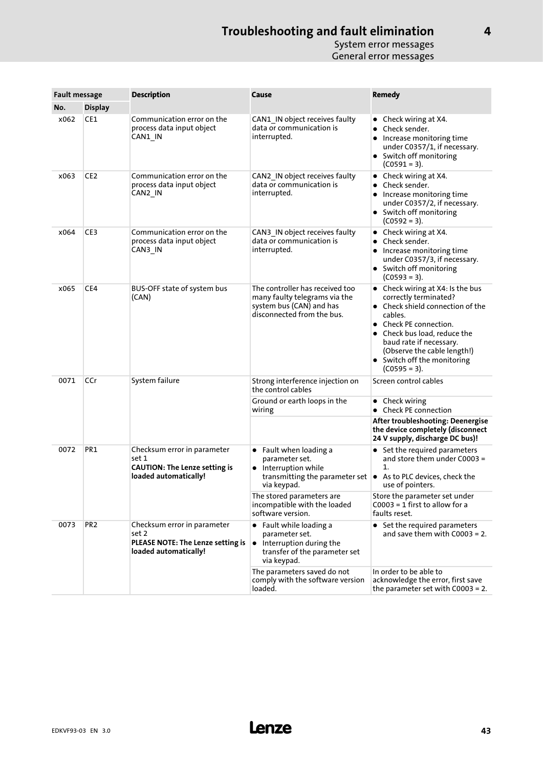| <b>Fault message</b> |                 | <b>Description</b>                                                                                    | Cause                                                                                                                                                     | Remedy                                                                                                                                                                                                                                                                    |  |
|----------------------|-----------------|-------------------------------------------------------------------------------------------------------|-----------------------------------------------------------------------------------------------------------------------------------------------------------|---------------------------------------------------------------------------------------------------------------------------------------------------------------------------------------------------------------------------------------------------------------------------|--|
| No.                  | <b>Display</b>  |                                                                                                       |                                                                                                                                                           |                                                                                                                                                                                                                                                                           |  |
| x062                 | CE1             | Communication error on the<br>process data input object<br>CAN1 IN                                    | CAN1 IN object receives faulty<br>data or communication is<br>interrupted.                                                                                | • Check wiring at $X4$ .<br>Check sender.<br>$\bullet$<br>Increase monitoring time<br>under C0357/1, if necessary.<br>• Switch off monitoring<br>$(C0591 = 3).$                                                                                                           |  |
| x063                 | CE <sub>2</sub> | Communication error on the<br>process data input object<br>CAN2_IN                                    | CAN2 IN object receives faulty<br>data or communication is<br>interrupted.                                                                                | • Check wiring at X4.<br>Check sender.<br>Increase monitoring time<br>٠<br>under C0357/2, if necessary.<br>• Switch off monitoring<br>$(C0592 = 3).$                                                                                                                      |  |
| x064                 | CE3             | Communication error on the<br>process data input object<br>CAN3 IN                                    | CAN3 IN object receives faulty<br>data or communication is<br>interrupted.                                                                                | • Check wiring at $X4$ .<br>Check sender.<br>$\bullet$<br>Increase monitoring time<br>under C0357/3, if necessary.<br>• Switch off monitoring<br>$(C0593 = 3).$                                                                                                           |  |
| x065                 | CE4             | BUS-OFF state of system bus<br>(CAN)                                                                  | The controller has received too<br>many faulty telegrams via the<br>system bus (CAN) and has<br>disconnected from the bus.                                | • Check wiring at X4: Is the bus<br>correctly terminated?<br>• Check shield connection of the<br>cables.<br>Check PE connection.<br>Check bus load, reduce the<br>baud rate if necessary.<br>(Observe the cable length!)<br>• Switch off the monitoring<br>$(C0595 = 3).$ |  |
| 0071                 | CCr             | System failure                                                                                        | Strong interference injection on<br>the control cables                                                                                                    | Screen control cables                                                                                                                                                                                                                                                     |  |
|                      |                 |                                                                                                       | Ground or earth loops in the<br>wiring                                                                                                                    | $\bullet$ Check wiring<br>Check PE connection                                                                                                                                                                                                                             |  |
|                      |                 |                                                                                                       |                                                                                                                                                           | After troubleshooting: Deenergise<br>the device completely (disconnect<br>24 V supply, discharge DC bus)!                                                                                                                                                                 |  |
| 0072                 | PR1             | Checksum error in parameter<br>set 1<br><b>CAUTION: The Lenze setting is</b><br>loaded automatically! | $\bullet$ Fault when loading a<br>parameter set.<br>• Interruption while<br>transmitting the parameter set  ● As to PLC devices, check the<br>via keypad. | • Set the required parameters<br>and store them under C0003 =<br>1.<br>use of pointers.                                                                                                                                                                                   |  |
|                      |                 |                                                                                                       | The stored parameters are<br>incompatible with the loaded<br>software version.                                                                            | Store the parameter set under<br>$C0003 = 1$ first to allow for a<br>faults reset.                                                                                                                                                                                        |  |
| 0073                 | PR <sub>2</sub> | Checksum error in parameter<br>set 2<br>PLEASE NOTE: The Lenze setting is<br>loaded automatically!    | $\bullet$ Fault while loading a<br>parameter set.<br>$\bullet$ Interruption during the<br>transfer of the parameter set<br>via keypad.                    | • Set the required parameters<br>and save them with $C0003 = 2$ .                                                                                                                                                                                                         |  |
|                      |                 |                                                                                                       | The parameters saved do not<br>comply with the software version<br>loaded.                                                                                | In order to be able to<br>acknowledge the error, first save<br>the parameter set with $C0003 = 2$ .                                                                                                                                                                       |  |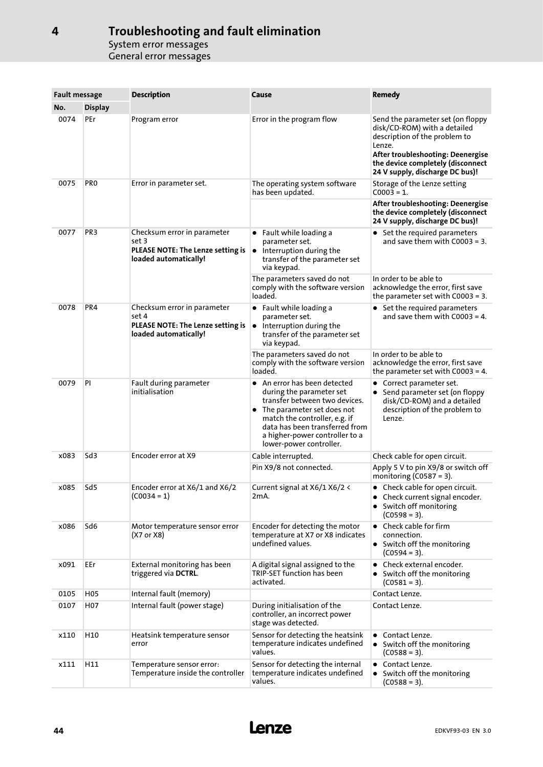| <b>Fault message</b> |                 | <b>Description</b>                                                                                 | Cause                                                                                                                                                                                                                                                             | Remedy                                                                                                                                                                                                                    |  |  |
|----------------------|-----------------|----------------------------------------------------------------------------------------------------|-------------------------------------------------------------------------------------------------------------------------------------------------------------------------------------------------------------------------------------------------------------------|---------------------------------------------------------------------------------------------------------------------------------------------------------------------------------------------------------------------------|--|--|
| No.                  | <b>Display</b>  |                                                                                                    |                                                                                                                                                                                                                                                                   |                                                                                                                                                                                                                           |  |  |
| 0074                 | PEr             | Program error                                                                                      | Error in the program flow                                                                                                                                                                                                                                         | Send the parameter set (on floppy<br>disk/CD-ROM) with a detailed<br>description of the problem to<br>Lenze.<br>After troubleshooting: Deenergise<br>the device completely (disconnect<br>24 V supply, discharge DC bus)! |  |  |
| 0075                 | PR <sub>0</sub> | Error in parameter set.                                                                            | The operating system software<br>has been updated.                                                                                                                                                                                                                | Storage of the Lenze setting<br>$C0003 = 1.$                                                                                                                                                                              |  |  |
|                      |                 |                                                                                                    |                                                                                                                                                                                                                                                                   | After troubleshooting: Deenergise<br>the device completely (disconnect<br>24 V supply, discharge DC bus)!                                                                                                                 |  |  |
| 0077                 | PR <sub>3</sub> | Checksum error in parameter<br>set 3<br>PLEASE NOTE: The Lenze setting is<br>loaded automatically! | $\bullet$ Fault while loading a<br>parameter set.<br>$\bullet$ Interruption during the<br>transfer of the parameter set<br>via keypad.                                                                                                                            | • Set the required parameters<br>and save them with $C0003 = 3$ .                                                                                                                                                         |  |  |
|                      |                 |                                                                                                    | The parameters saved do not<br>comply with the software version<br>loaded.                                                                                                                                                                                        | In order to be able to<br>acknowledge the error, first save<br>the parameter set with $C0003 = 3$ .                                                                                                                       |  |  |
| 0078                 | PR4             | Checksum error in parameter<br>set 4<br>PLEASE NOTE: The Lenze setting is<br>loaded automatically! | $\bullet$ Fault while loading a<br>parameter set.<br>$\bullet$ Interruption during the<br>transfer of the parameter set<br>via keypad.                                                                                                                            | • Set the required parameters<br>and save them with $C0003 = 4$ .                                                                                                                                                         |  |  |
|                      |                 |                                                                                                    | The parameters saved do not<br>comply with the software version<br>loaded.                                                                                                                                                                                        | In order to be able to<br>acknowledge the error, first save<br>the parameter set with $C0003 = 4$ .                                                                                                                       |  |  |
| 0079                 | PI              | Fault during parameter<br>initialisation                                                           | $\bullet$ An error has been detected<br>during the parameter set<br>transfer between two devices.<br>• The parameter set does not<br>match the controller, e.g. if<br>data has been transferred from<br>a higher-power controller to a<br>lower-power controller. | • Correct parameter set.<br>• Send parameter set (on floppy<br>disk/CD-ROM) and a detailed<br>description of the problem to<br>Lenze.                                                                                     |  |  |
| x083                 | Sd <sub>3</sub> | Encoder error at X9                                                                                | Cable interrupted.                                                                                                                                                                                                                                                | Check cable for open circuit.                                                                                                                                                                                             |  |  |
|                      |                 |                                                                                                    | Pin X9/8 not connected.                                                                                                                                                                                                                                           | Apply 5 V to pin X9/8 or switch off<br>monitoring ( $C0587 = 3$ ).                                                                                                                                                        |  |  |
| x085                 | Sd5             | Encoder error at X6/1 and X6/2<br>(C0034 = 1)                                                      | Current signal at X6/1 X6/2 <<br>2mA.                                                                                                                                                                                                                             | • Check cable for open circuit.<br>• Check current signal encoder.<br>• Switch off monitoring<br>$(C0598 = 3).$                                                                                                           |  |  |
| x086                 | Sd6             | Motor temperature sensor error<br>(X7 or X8)                                                       | Encoder for detecting the motor<br>temperature at X7 or X8 indicates<br>undefined values.                                                                                                                                                                         | $\bullet$ Check cable for firm<br>connection.<br>• Switch off the monitoring<br>$(C0594 = 3).$                                                                                                                            |  |  |
| x091                 | EEr             | External monitoring has been<br>triggered via DCTRL.                                               | A digital signal assigned to the<br>TRIP-SET function has been<br>activated.                                                                                                                                                                                      | • Check external encoder.<br>• Switch off the monitoring<br>$(C0581 = 3).$                                                                                                                                                |  |  |
| 0105                 | H <sub>05</sub> | Internal fault (memory)                                                                            |                                                                                                                                                                                                                                                                   | Contact Lenze.                                                                                                                                                                                                            |  |  |
| 0107                 | H07             | Internal fault (power stage)                                                                       | During initialisation of the<br>controller, an incorrect power<br>stage was detected.                                                                                                                                                                             | Contact Lenze.                                                                                                                                                                                                            |  |  |
| x110                 | H10             | Heatsink temperature sensor<br>error                                                               | Sensor for detecting the heatsink<br>temperature indicates undefined<br>values.                                                                                                                                                                                   | Contact Lenze.<br>• Switch off the monitoring<br>$(C0588 = 3).$                                                                                                                                                           |  |  |
| x111                 | H11             | Temperature sensor error:<br>Temperature inside the controller                                     | Sensor for detecting the internal<br>temperature indicates undefined<br>values.                                                                                                                                                                                   | Contact Lenze.<br>• Switch off the monitoring<br>$(C0588 = 3).$                                                                                                                                                           |  |  |

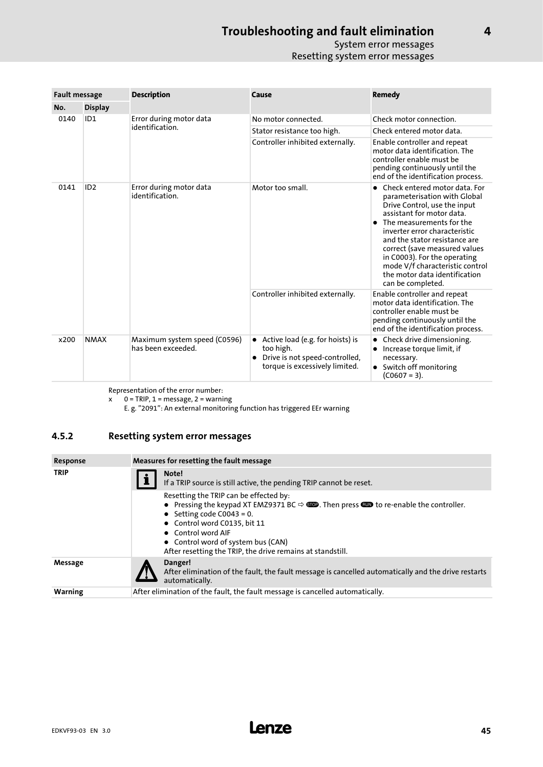### System error messages Resetting system error messages

<span id="page-44-0"></span>

| <b>Fault message</b> |                 | <b>Description</b>                                 | Cause                                                                                                                            | <b>Remedy</b>                                                                                                                                                                                                                                                                                                                                                                      |  |  |
|----------------------|-----------------|----------------------------------------------------|----------------------------------------------------------------------------------------------------------------------------------|------------------------------------------------------------------------------------------------------------------------------------------------------------------------------------------------------------------------------------------------------------------------------------------------------------------------------------------------------------------------------------|--|--|
| No.                  | <b>Display</b>  |                                                    |                                                                                                                                  |                                                                                                                                                                                                                                                                                                                                                                                    |  |  |
| 0140                 | ID <sub>1</sub> | Error during motor data<br>identification.         | No motor connected.                                                                                                              | Check motor connection.                                                                                                                                                                                                                                                                                                                                                            |  |  |
|                      |                 |                                                    | Stator resistance too high.                                                                                                      | Check entered motor data.                                                                                                                                                                                                                                                                                                                                                          |  |  |
|                      |                 |                                                    | Controller inhibited externally.                                                                                                 | Enable controller and repeat<br>motor data identification. The<br>controller enable must be<br>pending continuously until the<br>end of the identification process.                                                                                                                                                                                                                |  |  |
| 0141                 | ID <sub>2</sub> | Error during motor data<br>identification.         | Motor too small.                                                                                                                 | Check entered motor data. For<br>parameterisation with Global<br>Drive Control, use the input<br>assistant for motor data.<br>The measurements for the<br>inverter error characteristic<br>and the stator resistance are<br>correct (save measured values<br>in C0003). For the operating<br>mode V/f characteristic control<br>the motor data identification<br>can be completed. |  |  |
|                      |                 |                                                    | Controller inhibited externally.                                                                                                 | Enable controller and repeat<br>motor data identification. The<br>controller enable must be<br>pending continuously until the<br>end of the identification process.                                                                                                                                                                                                                |  |  |
| x200                 | <b>NMAX</b>     | Maximum system speed (C0596)<br>has been exceeded. | • Active load (e.g. for hoists) is<br>too high.<br>Drive is not speed-controlled,<br>$\bullet$<br>torque is excessively limited. | Check drive dimensioning.<br>Increase torque limit, if<br>necessary.<br>Switch off monitoring<br>$(C0607 = 3).$                                                                                                                                                                                                                                                                    |  |  |

Representation of the error number:

x 0 = TRIP, 1 = message, 2 = warning

E. g. "2091": An external monitoring function has triggered EEr warning

### 4.5.2 Resetting system error messages

| Response       | Measures for resetting the fault message                                                                                                                                                                                                                                                                                                               |  |  |  |  |
|----------------|--------------------------------------------------------------------------------------------------------------------------------------------------------------------------------------------------------------------------------------------------------------------------------------------------------------------------------------------------------|--|--|--|--|
| <b>TRIP</b>    | Note!<br>If a TRIP source is still active, the pending TRIP cannot be reset.                                                                                                                                                                                                                                                                           |  |  |  |  |
|                | Resetting the TRIP can be effected by:<br>• Pressing the keypad XT EMZ9371 BC $\Leftrightarrow$ <b>GOD</b> . Then press <b>GOD</b> to re-enable the controller.<br>• Setting code C0043 = 0.<br>• Control word C0135, bit 11<br>• Control word AIF<br>• Control word of system bus (CAN)<br>After resetting the TRIP, the drive remains at standstill. |  |  |  |  |
| Message        | Danger!<br>After elimination of the fault, the fault message is cancelled automatically and the drive restarts<br>automatically.                                                                                                                                                                                                                       |  |  |  |  |
| <b>Warning</b> | After elimination of the fault, the fault message is cancelled automatically.                                                                                                                                                                                                                                                                          |  |  |  |  |

[4](#page-31-0)